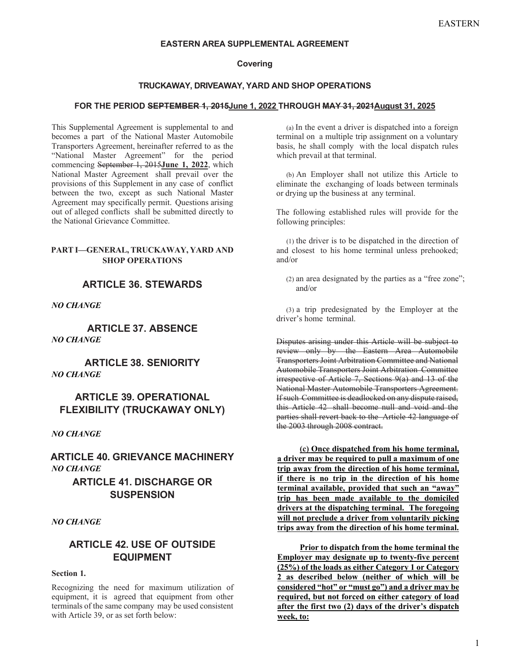#### **EASTERN AREA SUPPLEMENTAL AGREEMENT**

### **Covering**

#### **TRUCKAWAY, DRIVEAWAY, YARD AND SHOP OPERATIONS**

#### FOR THE PERIOD SEPTEMBER 1, 2015June 1, 2022 THROUGH MAY 31, 2021August 31, 2025

This Supplemental Agreement is supplemental to and becomes a part of the National Master Automobile Transporters Agreement, hereinafter referred to as the "National Master Agreement" for the period commencing September 1, 2015**June 1, 2022**, which National Master Agreement shall prevail over the provisions of this Supplement in any case of conflict between the two, except as such National Master Agreement may specifically permit. Questions arising out of alleged conflicts shall be submitted directly to the National Grievance Committee.

## **PART I—GENERAL, TRUCKAWAY, YARD AND SHOP OPERATIONS**

# **ARTICLE 36. STEWARDS**

*NO CHANGE*

**ARTICLE 37. ABSENCE**  *NO CHANGE*

**ARTICLE 38. SENIORITY**  *NO CHANGE*

# **ARTICLE 39. OPERATIONAL FLEXIBILITY (TRUCKAWAY ONLY)**

*NO CHANGE*

**ARTICLE 40. GRIEVANCE MACHINERY**  *NO CHANGE*

# **ARTICLE 41. DISCHARGE OR SUSPENSION**

*NO CHANGE*

# **ARTICLE 42. USE OF OUTSIDE EQUIPMENT**

#### **Section 1.**

Recognizing the need for maximum utilization of equipment, it is agreed that equipment from other terminals of the same company may be used consistent with Article 39, or as set forth below:

(a) In the event a driver is dispatched into a foreign terminal on a multiple trip assignment on a voluntary basis, he shall comply with the local dispatch rules which prevail at that terminal.

(b) An Employer shall not utilize this Article to eliminate the exchanging of loads between terminals or drying up the business at any terminal.

The following established rules will provide for the following principles:

(1) the driver is to be dispatched in the direction of and closest to his home terminal unless prehooked; and/or

(2) an area designated by the parties as a "free zone"; and/or

(3) a trip predesignated by the Employer at the driver's home terminal.

Disputes arising under this Article will be subject to review only by the Eastern Area Automobile Transporters Joint Arbitration Committee and National Automobile Transporters Joint Arbitration Committee irrespective of Article 7, Sections 9(a) and 13 of the National Master Automobile Transporters Agreement. If such Committee is deadlocked on any dispute raised, this Article 42 shall become null and void and the parties shall revert back to the Article 42 language of the 2003 through 2008 contract.

**(c) Once dispatched from his home terminal, a driver may be required to pull a maximum of one trip away from the direction of his home terminal, if there is no trip in the direction of his home terminal available, provided that such an "away" trip has been made available to the domiciled drivers at the dispatching terminal. The foregoing will not preclude a driver from voluntarily picking trips away from the direction of his home terminal.** 

**Prior to dispatch from the home terminal the Employer may designate up to twenty-five percent (25%) of the loads as either Category 1 or Category 2 as described below (neither of which will be considered "hot" or "must go") and a driver may be required, but not forced on either category of load after the first two (2) days of the driver's dispatch week, to:**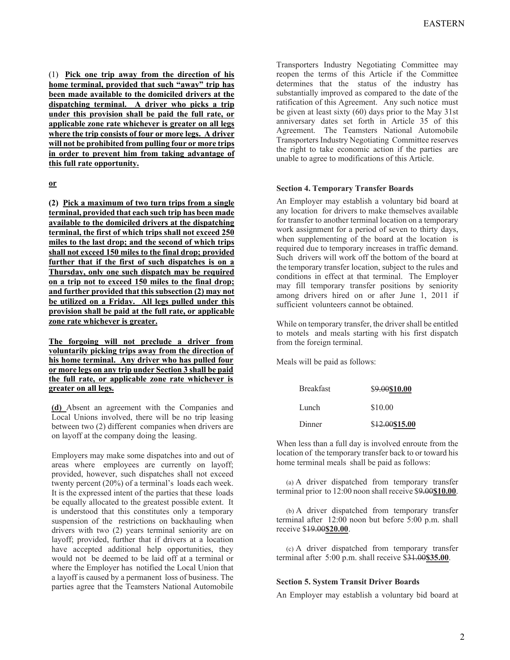(1) **Pick one trip away from the direction of his home terminal, provided that such "away" trip has been made available to the domiciled drivers at the dispatching terminal. A driver who picks a trip under this provision shall be paid the full rate, or applicable zone rate whichever is greater on all legs where the trip consists of four or more legs. A driver will not be prohibited from pulling four or more trips in order to prevent him from taking advantage of this full rate opportunity.**

#### **or**

**(2) Pick a maximum of two turn trips from a single terminal, provided that each such trip has been made available to the domiciled drivers at the dispatching terminal, the first of which trips shall not exceed 250 miles to the last drop; and the second of which trips shall not exceed 150 miles to the final drop; provided further that if the first of such dispatches is on a Thursday, only one such dispatch may be required on a trip not to exceed 150 miles to the final drop; and further provided that this subsection (2) may not be utilized on a Friday. All legs pulled under this provision shall be paid at the full rate, or applicable zone rate whichever is greater.** 

**The forgoing will not preclude a driver from voluntarily picking trips away from the direction of his home terminal. Any driver who has pulled four or more legs on any trip under Section 3 shall be paid the full rate, or applicable zone rate whichever is greater on all legs.**

**(d)** Absent an agreement with the Companies and Local Unions involved, there will be no trip leasing between two (2) different companies when drivers are on layoff at the company doing the leasing.

Employers may make some dispatches into and out of areas where employees are currently on layoff; provided, however, such dispatches shall not exceed twenty percent (20%) of a terminal's loads each week. It is the expressed intent of the parties that these loads be equally allocated to the greatest possible extent. It is understood that this constitutes only a temporary suspension of the restrictions on backhauling when drivers with two (2) years terminal seniority are on layoff; provided, further that if drivers at a location have accepted additional help opportunities, they would not be deemed to be laid off at a terminal or where the Employer has notified the Local Union that a layoff is caused by a permanent loss of business. The parties agree that the Teamsters National Automobile

Transporters Industry Negotiating Committee may reopen the terms of this Article if the Committee determines that the status of the industry has substantially improved as compared to the date of the ratification of this Agreement. Any such notice must be given at least sixty (60) days prior to the May 31st anniversary dates set forth in Article 35 of this Agreement. The Teamsters National Automobile Transporters Industry Negotiating Committee reserves the right to take economic action if the parties are unable to agree to modifications of this Article.

#### **Section 4. Temporary Transfer Boards**

An Employer may establish a voluntary bid board at any location for drivers to make themselves available for transfer to another terminal location on a temporary work assignment for a period of seven to thirty days, when supplementing of the board at the location is required due to temporary increases in traffic demand. Such drivers will work off the bottom of the board at the temporary transfer location, subject to the rules and conditions in effect at that terminal. The Employer may fill temporary transfer positions by seniority among drivers hired on or after June 1, 2011 if sufficient volunteers cannot be obtained.

While on temporary transfer, the driver shall be entitled to motels and meals starting with his first dispatch from the foreign terminal.

Meals will be paid as follows:

| <b>Breakfast</b> | \$9.00\$10.00  |  |  |
|------------------|----------------|--|--|
| Lunch            | \$10.00        |  |  |
| Dinner           | \$12.00\$15.00 |  |  |

When less than a full day is involved enroute from the location of the temporary transfer back to or toward his home terminal meals shall be paid as follows:

(a) A driver dispatched from temporary transfer terminal prior to 12:00 noon shall receive \$9.00**\$10.00**.

(b) A driver dispatched from temporary transfer terminal after 12:00 noon but before 5:00 p.m. shall receive \$19.00**\$20.00**.

(c) A driver dispatched from temporary transfer terminal after 5:00 p.m. shall receive \$31.00**\$35.00**.

#### **Section 5. System Transit Driver Boards**

An Employer may establish a voluntary bid board at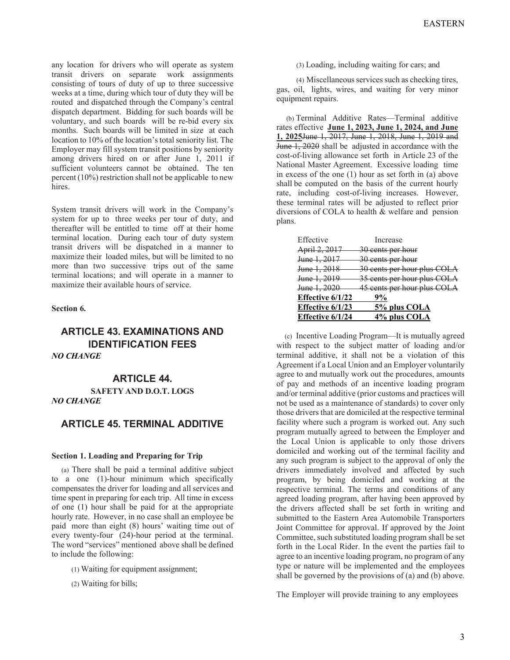any location for drivers who will operate as system transit drivers on separate work assignments consisting of tours of duty of up to three successive weeks at a time, during which tour of duty they will be routed and dispatched through the Company's central dispatch department. Bidding for such boards will be voluntary, and such boards will be re-bid every six months. Such boards will be limited in size at each location to 10% of the location's total seniority list. The Employer may fill system transit positions by seniority among drivers hired on or after June 1, 2011 if sufficient volunteers cannot be obtained. The ten percent (10%) restriction shall not be applicable to new hires.

System transit drivers will work in the Company's system for up to three weeks per tour of duty, and thereafter will be entitled to time off at their home terminal location. During each tour of duty system transit drivers will be dispatched in a manner to maximize their loaded miles, but will be limited to no more than two successive trips out of the same terminal locations; and will operate in a manner to maximize their available hours of service.

#### **Section 6.**

# **ARTICLE 43. EXAMINATIONS AND IDENTIFICATION FEES**  *NO CHANGE*

## **ARTICLE 44.**

**SAFETY AND D.O.T. LOGS** *NO CHANGE*

# **ARTICLE 45. TERMINAL ADDITIVE**

#### **Section 1. Loading and Preparing for Trip**

(a) There shall be paid a terminal additive subject to a one (1)-hour minimum which specifically compensates the driver for loading and all services and time spent in preparing for each trip. All time in excess of one (1) hour shall be paid for at the appropriate hourly rate. However, in no case shall an employee be paid more than eight (8) hours' waiting time out of every twenty-four (24)-hour period at the terminal. The word "services" mentioned above shall be defined to include the following:

- (1) Waiting for equipment assignment;
- (2) Waiting for bills;

(3) Loading, including waiting for cars; and

(4) Miscellaneous services such as checking tires, gas, oil, lights, wires, and waiting for very minor equipment repairs.

(b) Terminal Additive Rates—Terminal additive rates effective **June 1, 2023, June 1, 2024, and June 1, 2025**June 1, 2017, June 1, 2018, June 1, 2019 and June 1, 2020 shall be adjusted in accordance with the cost-of-living allowance set forth in Article 23 of the National Master Agreement. Excessive loading time in excess of the one (1) hour as set forth in (a) above shall be computed on the basis of the current hourly rate, including cost-of-living increases. However, these terminal rates will be adjusted to reflect prior diversions of COLA to health & welfare and pension plans.

| Effective               | Increase                    |
|-------------------------|-----------------------------|
| April 2, 2017           | 30 cents per hour           |
| <del>June 1, 2017</del> | 30 cents per hour           |
| <del>June 1, 2018</del> | 30 cents per hour plus COLA |
| <del>June 1, 2019</del> | 35 cents per hour plus COLA |
| <del>June 1, 2020</del> | 45 cents per hour plus COLA |
| Effective 6/1/22        | 9%                          |
| Effective 6/1/23        | 5% plus COLA                |
| Effective 6/1/24        | 4% plus COLA                |

(c) Incentive Loading Program—It is mutually agreed with respect to the subject matter of loading and/or terminal additive, it shall not be a violation of this Agreement if a Local Union and an Employer voluntarily agree to and mutually work out the procedures, amounts of pay and methods of an incentive loading program and/or terminal additive (prior customs and practices will not be used as a maintenance of standards) to cover only those drivers that are domiciled at the respective terminal facility where such a program is worked out. Any such program mutually agreed to between the Employer and the Local Union is applicable to only those drivers domiciled and working out of the terminal facility and any such program is subject to the approval of only the drivers immediately involved and affected by such program, by being domiciled and working at the respective terminal. The terms and conditions of any agreed loading program, after having been approved by the drivers affected shall be set forth in writing and submitted to the Eastern Area Automobile Transporters Joint Committee for approval. If approved by the Joint Committee, such substituted loading program shall be set forth in the Local Rider. In the event the parties fail to agree to an incentive loading program, no program of any type or nature will be implemented and the employees shall be governed by the provisions of (a) and (b) above.

The Employer will provide training to any employees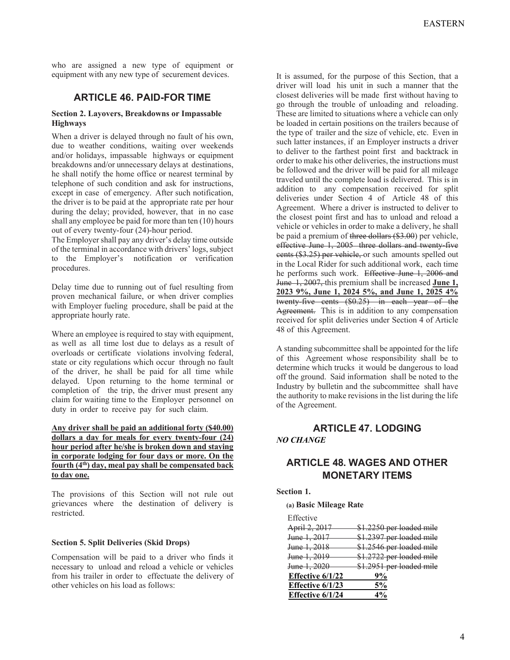who are assigned a new type of equipment or equipment with any new type of securement devices.

# **ARTICLE 46. PAID-FOR TIME**

#### **Section 2. Layovers, Breakdowns or Impassable Highways**

When a driver is delayed through no fault of his own, due to weather conditions, waiting over weekends and/or holidays, impassable highways or equipment breakdowns and/or unnecessary delays at destinations, he shall notify the home office or nearest terminal by telephone of such condition and ask for instructions, except in case of emergency. After such notification, the driver is to be paid at the appropriate rate per hour during the delay; provided, however, that in no case shall any employee be paid for more than ten (10) hours out of every twenty-four (24)-hour period.

The Employer shall pay any driver's delay time outside of the terminal in accordance with drivers' logs, subject to the Employer's notification or verification procedures.

Delay time due to running out of fuel resulting from proven mechanical failure, or when driver complies with Employer fueling procedure, shall be paid at the appropriate hourly rate.

Where an employee is required to stay with equipment, as well as all time lost due to delays as a result of overloads or certificate violations involving federal, state or city regulations which occur through no fault of the driver, he shall be paid for all time while delayed. Upon returning to the home terminal or completion of the trip, the driver must present any claim for waiting time to the Employer personnel on duty in order to receive pay for such claim.

### **Any driver shall be paid an additional forty (\$40.00) dollars a day for meals for every twenty-four (24) hour period after he/she is broken down and staying in corporate lodging for four days or more. On the fourth (4th) day, meal pay shall be compensated back to day one.**

The provisions of this Section will not rule out grievances where the destination of delivery is restricted.

## **Section 5. Split Deliveries (Skid Drops)**

Compensation will be paid to a driver who finds it necessary to unload and reload a vehicle or vehicles from his trailer in order to effectuate the delivery of other vehicles on his load as follows:

It is assumed, for the purpose of this Section, that a driver will load his unit in such a manner that the closest deliveries will be made first without having to go through the trouble of unloading and reloading. These are limited to situations where a vehicle can only be loaded in certain positions on the trailers because of the type of trailer and the size of vehicle, etc. Even in such latter instances, if an Employer instructs a driver to deliver to the farthest point first and backtrack in order to make his other deliveries, the instructions must be followed and the driver will be paid for all mileage traveled until the complete load is delivered. This is in addition to any compensation received for split deliveries under Section 4 of Article 48 of this Agreement. Where a driver is instructed to deliver to the closest point first and has to unload and reload a vehicle or vehicles in order to make a delivery, he shall be paid a premium of three dollars (\$3.00) per vehicle, effective June 1, 2005 three dollars and twenty-five eents (\$3.25) per vehicle, or such amounts spelled out in the Local Rider for such additional work, each time he performs such work. Effective June 1, 2006 and June 1, 2007, this premium shall be increased **June 1, 2023 9%, June 1, 2024 5%, and June 1, 2025 4%** twenty five cents (\$0.25) in each year of the Agreement. This is in addition to any compensation received for split deliveries under Section 4 of Article 48 of this Agreement.

A standing subcommittee shall be appointed for the life of this Agreement whose responsibility shall be to determine which trucks it would be dangerous to load off the ground. Said information shall be noted to the Industry by bulletin and the subcommittee shall have the authority to make revisions in the list during the life of the Agreement.

# **ARTICLE 47. LODGING**  *NO CHANGE*

# **ARTICLE 48. WAGES AND OTHER MONETARY ITEMS**

#### **Section 1.**

**(a) Basic Mileage Rate**

| Effective               |                          |
|-------------------------|--------------------------|
| April 2, 2017           | \$1.2250 per loaded mile |
| June 1, 2017            | \$1.2397 per loaded mile |
| June 1, 2018            | \$1.2546 per loaded mile |
| June 1, 2019            | \$1.2722 per loaded mile |
| June 1, 2020            | \$1.2951 per loaded mile |
| Effective $6/1/22$      | 9%                       |
| <b>Effective 6/1/23</b> | 5%                       |
| Effective 6/1/24        | 4%                       |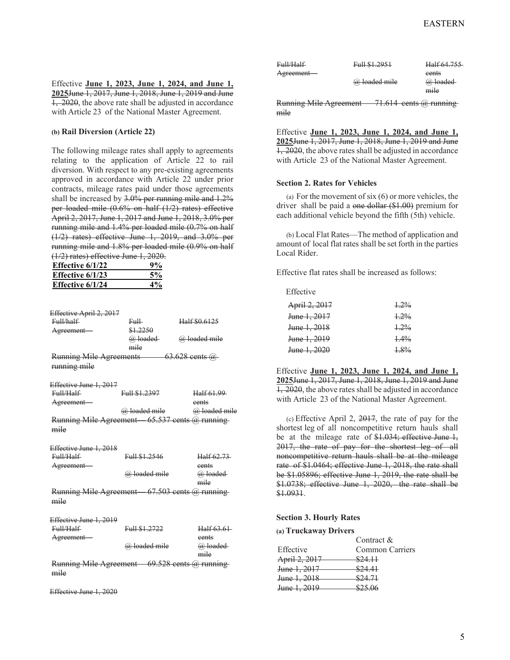Effective **June 1, 2023, June 1, 2024, and June 1, 2025**June 1, 2017, June 1, 2018, June 1, 2019 and June 1, 2020, the above rate shall be adjusted in accordance with Article 23 of the National Master Agreement.

#### **(b) Rail Diversion (Article 22)**

The following mileage rates shall apply to agreements relating to the application of Article 22 to rail diversion. With respect to any pre-existing agreements approved in accordance with Article 22 under prior contracts, mileage rates paid under those agreements shall be increased by 3.0% per running mile and 1.2% per loaded mile (0.6% on half (1/2) rates) effective April 2, 2017, June 1, 2017 and June 1, 2018, 3.0% per running mile and 1.4% per loaded mile (0.7% on half (1/2) rates) effective June 1, 2019, and 3.0% per running mile and 1.8% per loaded mile (0.9% on half (1/2) rates) effective June 1, 2020.

| <b>Effective 6/1/22</b> | 9%    |
|-------------------------|-------|
| Effective $6/1/23$      | 5%    |
| Effective 6/1/24        | $4\%$ |

| Effective April 2, 2017        |          |                    |
|--------------------------------|----------|--------------------|
| Full/half                      | Fm⊞      | Half \$0.6125      |
| Agreement-                     | \$1,2250 |                    |
|                                | @ loaded | @ loaded mile      |
|                                | mile     |                    |
| <b>Running Mile Agreements</b> |          | $63.628$ cents $@$ |
| running mile                   |          |                    |

Effective June 1, 2017

| Full/Half              | Full \$1,2397 |               | Half 61.99                  |
|------------------------|---------------|---------------|-----------------------------|
| Agreement-             |               |               | eents                       |
|                        |               | @ loaded mile | @ loaded mile               |
| Running Mile Agreement |               |               | $-65.537$ cents $@$ running |
| mile                   |               |               |                             |

Effective June 1, 2018 Full/Half  $F = 11.01.2546$  H 10 (2.73)

|                        | <del>. </del> | <del>нан о∠. ∕э-</del>        |
|------------------------|---------------|-------------------------------|
| Agreement-             |               | eents                         |
|                        | @ loaded mile | @ loaded                      |
|                        |               | mile                          |
| Running Mile Agreement |               | $-67.503$ cents $(a)$ running |
| <del>mıle</del>        |               |                               |

| Effective June 1, 2019 |                             |               |
|------------------------|-----------------------------|---------------|
| Full/Half              | Full \$1,2722               | Half 63.61    |
| Agreement-             |                             | eents         |
|                        | @ loaded mile               | @ loaded      |
|                        |                             | mile          |
|                        | $\sim$ $\sim$ $\sim$ $\sim$ | $\sim$ $\sim$ |

Running Mile Agreement—  $69.528$  cents  $@$  running mile

Effective June 1, 2020

| <del>Full/Half</del> | Full \$1,2951 | Half 64,755 |
|----------------------|---------------|-------------|
| Agreement-           |               | eents       |
|                      | @ loaded mile | @ loaded    |
|                      |               | mile        |

Running Mile Agreement  $-71.614$  cents @ running mile

Effective **June 1, 2023, June 1, 2024, and June 1, 2025**June 1, 2017, June 1, 2018, June 1, 2019 and June 1, 2020, the above rates shall be adjusted in accordance with Article 23 of the National Master Agreement.

#### **Section 2. Rates for Vehicles**

(a) For the movement of six  $(6)$  or more vehicles, the driver shall be paid a one dollar (\$1.00) premium for each additional vehicle beyond the fifth (5th) vehicle.

(b) Local Flat Rates—The method of application and amount of local flat rates shall be set forth in the parties Local Rider.

Effective flat rates shall be increased as follows:

Effective

| April 2, 2017           | $+2\%$  |
|-------------------------|---------|
| June 1, 2017            | 1.29%   |
| June 1, 2018            | 1.29%   |
| <del>June 1, 2019</del> | $1.4\%$ |
| June 1, 2020            | $1.8\%$ |

Effective **June 1, 2023, June 1, 2024, and June 1, 2025**June 1, 2017, June 1, 2018, June 1, 2019 and June 1, 2020, the above rates shall be adjusted in accordance with Article 23 of the National Master Agreement.

(c) Effective April 2, 2017, the rate of pay for the shortest leg of all noncompetitive return hauls shall be at the mileage rate of  $$1.034$ ; effective June 1, 2017, the rate of pay for the shortest leg of all noncompetitive return hauls shall be at the mileage rate of \$1.0464; effective June 1, 2018, the rate shall be \$1.05896; effective June 1, 2019, the rate shall be \$1.0738; effective June 1, 2020, the rate shall be \$1.0931.

#### **Section 3. Hourly Rates**

#### **(a) Truckaway Drivers**

|                         | Contract &         |
|-------------------------|--------------------|
| Effective               | Common Carriers    |
| April 2, 2017           | <del>\$24.11</del> |
| June 1, 2017            | \$24.41            |
| <del>June 1, 2018</del> | \$24.71            |
| <del>June 1, 2019</del> | 22506              |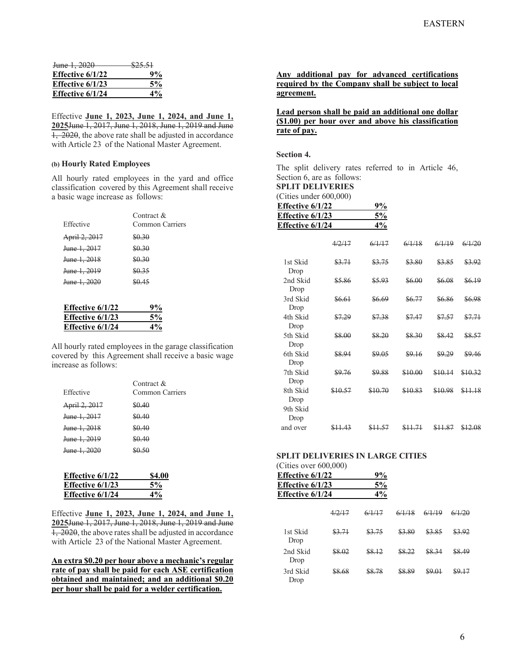| <del>June 1, 2020</del> | <del>\$25.51</del> |
|-------------------------|--------------------|
| Effective $6/1/22$      | 9%                 |
| Effective $6/1/23$      | 5%                 |
| Effective $6/1/24$      | $4\%$              |

Effective **June 1, 2023, June 1, 2024, and June 1, 2025**June 1, 2017, June 1, 2018, June 1, 2019 and June  $\overline{1, 2020}$ , the above rate shall be adjusted in accordance with Article 23 of the National Master Agreement.

#### **(b) Hourly Rated Employees**

All hourly rated employees in the yard and office classification covered by this Agreement shall receive a basic wage increase as follows:

| Effective                | Contract $\&$<br>Common Carriers |
|--------------------------|----------------------------------|
| <del>April 2, 2017</del> | 80.30                            |
| June 1, 2017             | 80.30                            |
| <del>June 1, 2018</del>  | 80.30                            |
| <del>June 1, 2019</del>  | \$0.35                           |
| <del>June 1. 2020</del>  | \$0.45                           |
|                          |                                  |

| Effective $6/1/22$ | 9%    |
|--------------------|-------|
| Effective $6/1/23$ | 5%    |
| Effective 6/1/24   | $4\%$ |

All hourly rated employees in the garage classification covered by this Agreement shall receive a basic wage increase as follows:

| Effective               | Contract &<br>Common Carriers |
|-------------------------|-------------------------------|
| April 2, 2017           | \$0.40                        |
| <del>June 1, 2017</del> | \$0.40                        |
| <del>June 1, 2018</del> | \$0.40                        |
| <del>June 1, 2019</del> | \$0.40                        |
| <del>June 1, 2020</del> | $80 - 50$                     |
|                         |                               |

| <b>\$4.00</b> |
|---------------|
| 5%            |
| $4\%$         |
|               |

Effective **June 1, 2023, June 1, 2024, and June 1, 2025**June 1, 2017, June 1, 2018, June 1, 2019 and June  $\overline{1, 2020}$ , the above rates shall be adjusted in accordance with Article 23 of the National Master Agreement.

**An extra \$0.20 per hour above a mechanic's regular rate of pay shall be paid for each ASE certification obtained and maintained; and an additional \$0.20 per hour shall be paid for a welder certification.** 

**Any additional pay for advanced certifications required by the Company shall be subject to local agreement.** 

## **Lead person shall be paid an additional one dollar (\$1.00) per hour over and above his classification rate of pay.**

#### **Section 4.**

The split delivery rates referred to in Article 46, Section 6, are as follows:

**SPLIT DELIVERIES** 

| (Cities under 600,000) |    |
|------------------------|----|
| Effective $6/1/22$     | 9% |

| Effective $6/1/23$ | 5% |
|--------------------|----|
| Effective $6/1/24$ | 4% |

|                  | 947     | 6/1/17  | 6/1/18  | 6/1/19  | 6/1/20  |
|------------------|---------|---------|---------|---------|---------|
| 1st Skid<br>Drop | \$3.71  | \$3.75  | \$3.80  | \$3.85  | \$3.92  |
| 2nd Skid<br>Drop | \$5.86  | \$5.93  | \$6.00  | \$6.08  | \$6.19  |
| 3rd Skid<br>Drop | \$6.61  | \$6.69  | \$6.77  | \$6.86  | \$6.98  |
| 4th Skid<br>Drop | \$7.29  | \$7.38  | \$7.47  | \$7.57  | \$7.71  |
| 5th Skid<br>Drop | \$8.00  | \$8.20  | \$8.30  | \$8.42  | \$8.57  |
| 6th Skid<br>Drop | \$8.94  | \$9.05  | \$9.16  | مجمع    | \$9.46  |
| 7th Skid<br>Drop | \$9.76  | \$9.88  | \$10.00 | \$10.14 | \$10.32 |
| 8th Skid<br>Drop | \$10.57 | \$10.70 | \$10.83 | \$10.98 | \$11.18 |
| 9th Skid<br>Drop |         |         |         |         |         |
| and over         |         |         |         |         |         |

# **SPLIT DELIVERIES IN LARGE CITIES**

| (Cities over 600,000) |        |        |               |        |       |
|-----------------------|--------|--------|---------------|--------|-------|
| Effective 6/1/22      |        | 9%     |               |        |       |
| Effective 6/1/23      |        | 5%     |               |        |       |
| Effective $6/1/24$    |        | 4%     |               |        |       |
|                       | 4/2/17 | 6/1/17 | 6/1/18        | 6/1/19 |       |
| 1st Skid<br>Drop      | \$3.71 | 83.75  | \$3.80        | 83.85  | 83.92 |
| 2nd Skid<br>Drop      | 88.02  | 88,12  | <u> 88.22</u> |        |       |
| 3rd Skid<br>Drop      | 8 68   | CQ 70  | CQ QO         |        |       |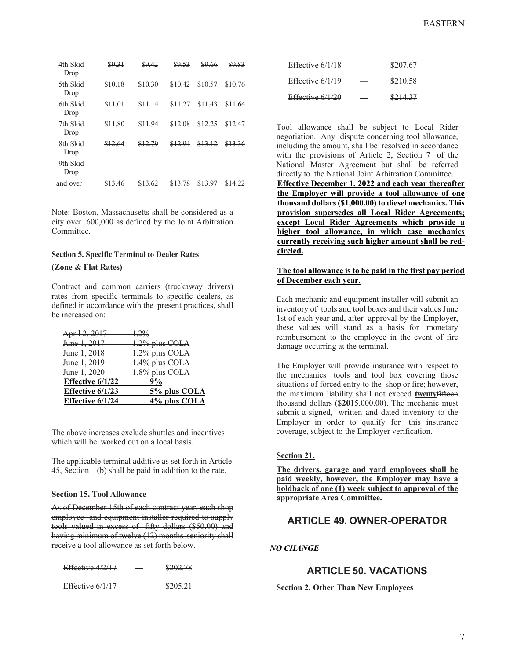| 4th Skid<br>Drop | \$9.31  | \$9.42  | \$9,53  |         | \$9.83  |
|------------------|---------|---------|---------|---------|---------|
| 5th Skid<br>Drop | \$10.18 | \$10.30 | \$10.42 | \$10.57 | \$10.76 |
| 6th Skid<br>Drop | \$11.01 | \$11.14 | \$11.27 | \$11.43 | \$11.64 |
| 7th Skid<br>Drop | \$11.80 | \$11.94 | \$12.08 | \$12.25 | \$12.47 |
| 8th Skid<br>Drop | \$12.64 | \$12.79 | \$12.94 | \$13.12 | \$13.36 |
| 9th Skid<br>Drop |         |         |         |         |         |
| and over         | 16      |         |         |         |         |

Note: Boston, Massachusetts shall be considered as a city over 600,000 as defined by the Joint Arbitration Committee.

### **Section 5. Specific Terminal to Dealer Rates**

#### **(Zone & Flat Rates)**

Contract and common carriers (truckaway drivers) rates from specific terminals to specific dealers, as defined in accordance with the present practices, shall be increased on:

| 5% plus COLA   |
|----------------|
| 9%             |
| 1.8% plus COLA |
| 1.4% plus COLA |
| 1.2% plus COLA |
| 1.2% plus COLA |
| $1.2\%$        |
|                |

The above increases exclude shuttles and incentives which will be worked out on a local basis.

The applicable terminal additive as set forth in Article 45, Section 1(b) shall be paid in addition to the rate.

#### **Section 15. Tool Allowance**

As of December 15th of each contract year, each shop employee and equipment installer required to supply tools valued in excess of fifty dollars (\$50.00) and having minimum of twelve (12) months seniority shall receive a tool allowance as set forth below.

| Effective 4/2/17 | ___ | \$202.78 |
|------------------|-----|----------|
| Effective 6/1/17 | __  | \$205.21 |

| Effective 6/1/18 | \$207.67 |
|------------------|----------|
| Effective 6/1/19 | \$210.58 |
| Effective 6/1/20 | \$214.37 |

Tool allowance shall be subject to Local Rider negotiation. Any dispute concerning tool allowance, including the amount, shall be resolved in accordance with the provisions of Article 2, Section 7 of the National Master Agreement but shall be referred directly to the National Joint Arbitration Committee. **Effective December 1, 2022 and each year thereafter the Employer will provide a tool allowance of one thousand dollars (\$1,000.00) to diesel mechanics. This provision supersedes all Local Rider Agreements; except Local Rider Agreements which provide a higher tool allowance, in which case mechanics currently receiving such higher amount shall be redcircled.** 

#### **The tool allowance is to be paid in the first pay period of December each year.**

Each mechanic and equipment installer will submit an inventory of tools and tool boxes and their values June 1st of each year and, after approval by the Employer, these values will stand as a basis for monetary reimbursement to the employee in the event of fire damage occurring at the terminal.

The Employer will provide insurance with respect to the mechanics tools and tool box covering those situations of forced entry to the shop or fire; however, the maximum liability shall not exceed **twenty**fifteen thousand dollars (\$**20**15,000.00). The mechanic must submit a signed, written and dated inventory to the Employer in order to qualify for this insurance coverage, subject to the Employer verification.

#### **Section 21.**

**The drivers, garage and yard employees shall be paid weekly, however, the Employer may have a holdback of one (1) week subject to approval of the appropriate Area Committee.**

# **ARTICLE 49. OWNER-OPERATOR**

## *NO CHANGE*

# **ARTICLE 50. VACATIONS**

**Section 2. Other Than New Employees**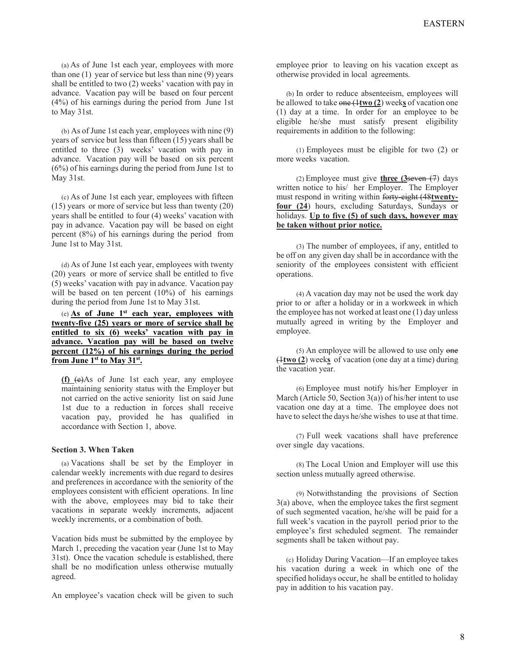(a) As of June 1st each year, employees with more than one (1) year of service but less than nine (9) years shall be entitled to two (2) weeks' vacation with pay in advance. Vacation pay will be based on four percent (4%) of his earnings during the period from June 1st to May 31st.

(b) As of June 1st each year, employees with nine (9) years of service but less than fifteen (15) years shall be entitled to three (3) weeks' vacation with pay in advance. Vacation pay will be based on six percent (6%) of his earnings during the period from June 1st to May 31st.

(c) As of June 1st each year, employees with fifteen (15) years or more of service but less than twenty (20) years shall be entitled to four (4) weeks' vacation with pay in advance. Vacation pay will be based on eight percent (8%) of his earnings during the period from June 1st to May 31st.

(d) As of June 1st each year, employees with twenty (20) years or more of service shall be entitled to five (5) weeks' vacation with pay in advance. Vacation pay will be based on ten percent (10%) of his earnings during the period from June 1st to May 31st.

(e) **As of June 1st each year, employees with twenty-five (25) years or more of service shall be entitled to six (6) weeks' vacation with pay in advance. Vacation pay will be based on twelve percent (12%) of his earnings during the period from June 1st to May 31st.**

**(f)** (e)As of June 1st each year, any employee maintaining seniority status with the Employer but not carried on the active seniority list on said June 1st due to a reduction in forces shall receive vacation pay, provided he has qualified in accordance with Section 1, above.

#### **Section 3. When Taken**

(a) Vacations shall be set by the Employer in calendar weekly increments with due regard to desires and preferences in accordance with the seniority of the employees consistent with efficient operations. In line with the above, employees may bid to take their vacations in separate weekly increments, adjacent weekly increments, or a combination of both.

Vacation bids must be submitted by the employee by March 1, preceding the vacation year (June 1st to May 31st). Once the vacation schedule is established, there shall be no modification unless otherwise mutually agreed.

An employee's vacation check will be given to such

employee prior to leaving on his vacation except as otherwise provided in local agreements.

(b) In order to reduce absenteeism, employees will be allowed to take one (1**two (2**) week**s** of vacation one (1) day at a time. In order for an employee to be eligible he/she must satisfy present eligibility requirements in addition to the following:

(1) Employees must be eligible for two (2) or more weeks vacation.

(2) Employee must give **three (3**seven (7) days written notice to his/ her Employer. The Employer must respond in writing within forty-eight (48**twentyfour (24**) hours, excluding Saturdays, Sundays or holidays. **Up to five (5) of such days, however may be taken without prior notice.**

(3) The number of employees, if any, entitled to be off on any given day shall be in accordance with the seniority of the employees consistent with efficient operations.

(4) A vacation day may not be used the work day prior to or after a holiday or in a workweek in which the employee has not worked at least one (1) day unless mutually agreed in writing by the Employer and employee.

 $(5)$  An employee will be allowed to use only one (1**two (2**) week**s** of vacation (one day at a time) during the vacation year.

(6) Employee must notify his/her Employer in March (Article 50, Section  $3(a)$ ) of his/her intent to use vacation one day at a time. The employee does not have to select the days he/she wishes to use at that time.

(7) Full week vacations shall have preference over single day vacations.

(8) The Local Union and Employer will use this section unless mutually agreed otherwise.

(9) Notwithstanding the provisions of Section 3(a) above, when the employee takes the first segment of such segmented vacation, he/she will be paid for a full week's vacation in the payroll period prior to the employee's first scheduled segment. The remainder segments shall be taken without pay.

(c) Holiday During Vacation—If an employee takes his vacation during a week in which one of the specified holidays occur, he shall be entitled to holiday pay in addition to his vacation pay.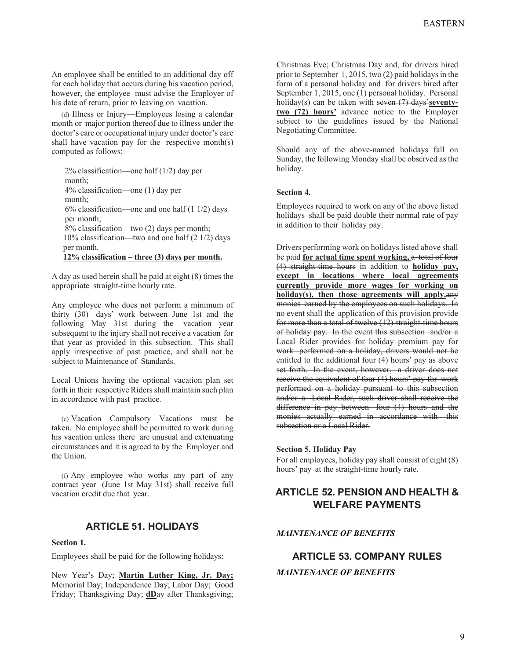An employee shall be entitled to an additional day off for each holiday that occurs during his vacation period, however, the employee must advise the Employer of his date of return, prior to leaving on vacation.

(d) Illness or Injury—Employees losing a calendar month or major portion thereof due to illness under the doctor's care or occupational injury under doctor's care shall have vacation pay for the respective month(s) computed as follows:

2% classification—one half (1/2) day per month; 4% classification—one (1) day per month;  $6\%$  classification—one and one half  $(1 1/2)$  days per month; 8% classification—two (2) days per month; 10% classification—two and one half (2 1/2) days per month. **12% classification – three (3) days per month.**

A day as used herein shall be paid at eight (8) times the appropriate straight-time hourly rate.

Any employee who does not perform a minimum of thirty (30) days' work between June 1st and the following May 31st during the vacation year subsequent to the injury shall not receive a vacation for that year as provided in this subsection. This shall apply irrespective of past practice, and shall not be subject to Maintenance of Standards.

Local Unions having the optional vacation plan set forth in their respective Riders shall maintain such plan in accordance with past practice.

(e) Vacation Compulsory—Vacations must be taken. No employee shall be permitted to work during his vacation unless there are unusual and extenuating circumstances and it is agreed to by the Employer and the Union.

(f) Any employee who works any part of any contract year (June 1st May 31st) shall receive full vacation credit due that year.

# **ARTICLE 51. HOLIDAYS**

#### **Section 1.**

Employees shall be paid for the following holidays:

New Year's Day; **Martin Luther King, Jr. Day;**  Memorial Day; Independence Day; Labor Day; Good Friday; Thanksgiving Day; **dD**ay after Thanksgiving;

Christmas Eve; Christmas Day and, for drivers hired prior to September 1, 2015, two (2) paid holidays in the form of a personal holiday and for drivers hired after September 1, 2015, one (1) personal holiday. Personal holiday(s) can be taken with seven (7) days'**seventytwo (72) hours'** advance notice to the Employer subject to the guidelines issued by the National Negotiating Committee.

Should any of the above-named holidays fall on Sunday, the following Monday shall be observed as the holiday.

#### **Section 4.**

Employees required to work on any of the above listed holidays shall be paid double their normal rate of pay in addition to their holiday pay.

Drivers performing work on holidays listed above shall be paid **for actual time spent working,** a total of four (4) straight-time hours in addition to **holiday pay, except in locations where local agreements currently provide more wages for working on holiday(s), then those agreements will apply.**any monies earned by the employees on such holidays. In no event shall the application of this provision provide for more than a total of twelve (12) straight-time hours of holiday pay. In the event this subsection and/or a Local Rider provides for holiday premium pay for work performed on a holiday, drivers would not be entitled to the additional four (4) hours' pay as above set forth. In the event, however, a driver does not receive the equivalent of four (4) hours' pay for work performed on a holiday pursuant to this subsection and/or a Local Rider, such driver shall receive the difference in pay between four (4) hours and the monies actually earned in accordance with this subsection or a Local Rider.

#### **Section 5. Holiday Pay**

For all employees, holiday pay shall consist of eight (8) hours' pay at the straight-time hourly rate.

# **ARTICLE 52. PENSION AND HEALTH & WELFARE PAYMENTS**

## *MAINTENANCE OF BENEFITS*

# **ARTICLE 53. COMPANY RULES**

## *MAINTENANCE OF BENEFITS*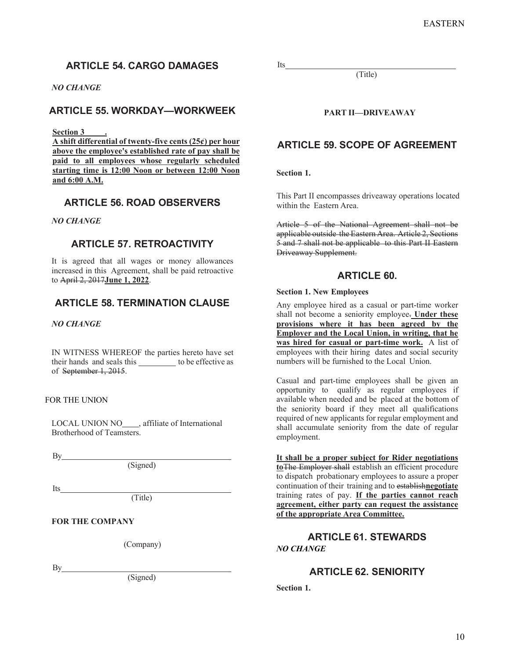# **ARTICLE 54. CARGO DAMAGES**

## *NO CHANGE*

# **ARTICLE 55. WORKDAY—WORKWEEK**

**Section 3 .** 

**A shift differential of twenty-five cents (25¢) per hour above the employee's established rate of pay shall be paid to all employees whose regularly scheduled starting time is 12:00 Noon or between 12:00 Noon and 6:00 A.M.** 

# **ARTICLE 56. ROAD OBSERVERS**

### *NO CHANGE*

# **ARTICLE 57. RETROACTIVITY**

It is agreed that all wages or money allowances increased in this Agreement, shall be paid retroactive to April 2, 2017**June 1, 2022**.

# **ARTICLE 58. TERMINATION CLAUSE**

#### *NO CHANGE*

IN WITNESS WHEREOF the parties hereto have set their hands and seals this to be effective as of September 1, 2015.

### FOR THE UNION

LOCAL UNION NO\_\_\_\_, affiliate of International Brotherhood of Teamsters.

By a set of  $\mathbf{B}$ 

(Signed)

Its

(Title)

**FOR THE COMPANY** 

(Company)

 $By$ 

(Signed)

Its

**PART II—DRIVEAWAY**

(Title)

# **ARTICLE 59. SCOPE OF AGREEMENT**

**Section 1.** 

This Part II encompasses driveaway operations located within the Eastern Area.

Article 5 of the National Agreement shall not be applicable outside the Eastern Area. Article 2, Sections 5 and 7 shall not be applicable to this Part II Eastern Driveaway Supplement.

# **ARTICLE 60.**

#### **Section 1. New Employees**

Any employee hired as a casual or part-time worker shall not become a seniority employee. **Under these provisions where it has been agreed by the Employer and the Local Union, in writing, that he was hired for casual or part-time work.** A list of employees with their hiring dates and social security numbers will be furnished to the Local Union.

Casual and part-time employees shall be given an opportunity to qualify as regular employees if available when needed and be placed at the bottom of the seniority board if they meet all qualifications required of new applicants for regular employment and shall accumulate seniority from the date of regular employment.

**It shall be a proper subject for Rider negotiations to**The Employer shall establish an efficient procedure to dispatch probationary employees to assure a proper continuation of their training and to establish**negotiate** training rates of pay. **If the parties cannot reach agreement, either party can request the assistance of the appropriate Area Committee.**

# **ARTICLE 61. STEWARDS**  *NO CHANGE*

# **ARTICLE 62. SENIORITY**

**Section 1.**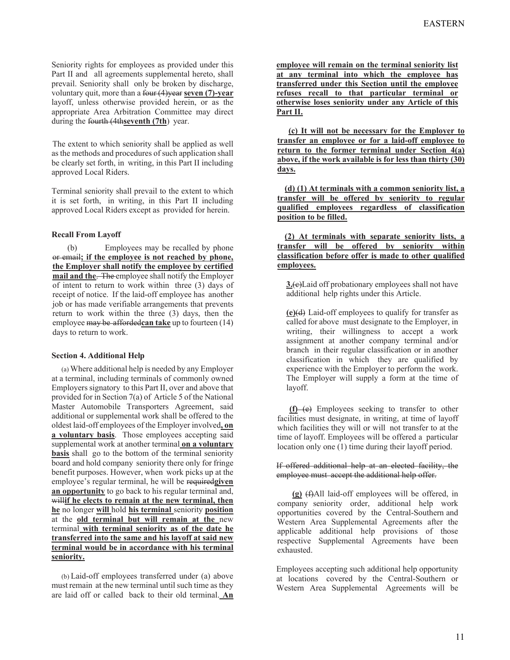Seniority rights for employees as provided under this Part II and all agreements supplemental hereto, shall prevail. Seniority shall only be broken by discharge, voluntary quit, more than a four (4)year **seven (7)-year**  layoff, unless otherwise provided herein, or as the appropriate Area Arbitration Committee may direct during the fourth (4th**seventh (7th**) year.

The extent to which seniority shall be applied as well as the methods and procedures of such application shall be clearly set forth, in writing, in this Part II including approved Local Riders.

Terminal seniority shall prevail to the extent to which it is set forth, in writing, in this Part II including approved Local Riders except as provided for herein.

#### **Recall From Layoff**

(b) Employees may be recalled by phone or email**; if the employee is not reached by phone, the Employer shall notify the employee by certified mail and the**. The employee shall notify the Employer of intent to return to work within three (3) days of receipt of notice. If the laid-off employee has another job or has made verifiable arrangements that prevents return to work within the three (3) days, then the employee may be afforded**can take** up to fourteen (14) days to return to work.

#### **Section 4. Additional Help**

(a) Where additional help is needed by any Employer at a terminal, including terminals of commonly owned Employers signatory to this Part II, over and above that provided for in Section 7(a) of Article 5 of the National Master Automobile Transporters Agreement, said additional or supplemental work shall be offered to the oldest laid-off employees of the Employer involved**, on a voluntary basis**. Those employees accepting said supplemental work at another terminal **on a voluntary basis** shall go to the bottom of the terminal seniority board and hold company seniority there only for fringe benefit purposes. However, when work picks up at the employee's regular terminal, he will be required**given an opportunity** to go back to his regular terminal and, willif he elects to remain at the new terminal, then **he** no longer **will** hold **his terminal** seniority **position** at the **old terminal but will remain at the** new terminal **with terminal seniority as of the date he transferred into the same and his layoff at said new terminal would be in accordance with his terminal seniority.**

(b) Laid-off employees transferred under (a) above must remain at the new terminal until such time as they are laid off or called back to their old terminal. **An**  **employee will remain on the terminal seniority list at any terminal into which the employee has transferred under this Section until the employee refuses recall to that particular terminal or otherwise loses seniority under any Article of this Part II.**

**(c) It will not be necessary for the Employer to transfer an employee or for a laid-off employee to return to the former terminal under Section 4(a) above, if the work available is for less than thirty (30) days.** 

**(d) (1) At terminals with a common seniority list, a transfer will be offered by seniority to regular qualified employees regardless of classification position to be filled.** 

**(2) At terminals with separate seniority lists, a transfer will be offered by seniority within classification before offer is made to other qualified employees.** 

**3.**(c)Laid off probationary employees shall not have additional help rights under this Article.

**(e)**(d) Laid-off employees to qualify for transfer as called for above must designate to the Employer, in writing, their willingness to accept a work assignment at another company terminal and/or branch in their regular classification or in another classification in which they are qualified by experience with the Employer to perform the work. The Employer will supply a form at the time of layoff.

**(f)** (e) Employees seeking to transfer to other facilities must designate, in writing, at time of layoff which facilities they will or will not transfer to at the time of layoff. Employees will be offered a particular location only one (1) time during their layoff period.

If offered additional help at an elected facility, the employee must accept the additional help offer.

**(g)** (f)All laid-off employees will be offered, in company seniority order, additional help work opportunities covered by the Central-Southern and Western Area Supplemental Agreements after the applicable additional help provisions of those respective Supplemental Agreements have been exhausted.

Employees accepting such additional help opportunity at locations covered by the Central-Southern or Western Area Supplemental Agreements will be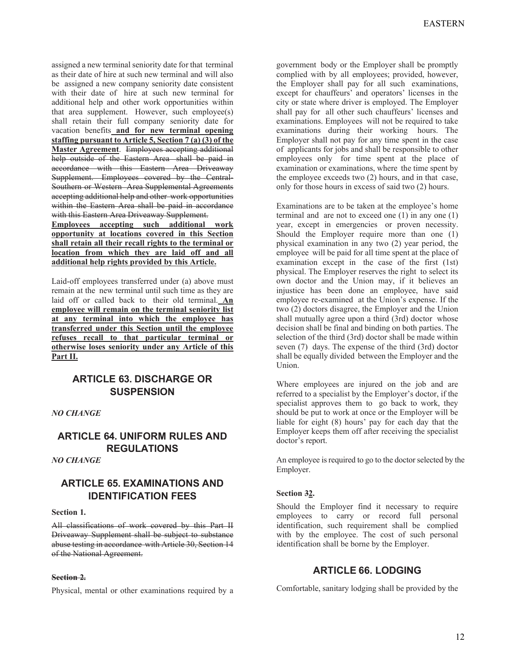assigned a new terminal seniority date for that terminal as their date of hire at such new terminal and will also be assigned a new company seniority date consistent with their date of hire at such new terminal for additional help and other work opportunities within that area supplement. However, such employee(s) shall retain their full company seniority date for vacation benefits **and for new terminal opening staffing pursuant to Article 5, Section 7 (a) (3) of the Master Agreement**. Employees accepting additional help outside of the Eastern Area shall be paid in accordance with this Eastern Area Driveaway Supplement. Employees covered by the Central-Southern or Western Area Supplemental Agreements accepting additional help and other work opportunities within the Eastern Area shall be paid in accordance with this Eastern Area Driveaway Supplement.

**Employees accepting such additional work opportunity at locations covered in this Section shall retain all their recall rights to the terminal or location from which they are laid off and all additional help rights provided by this Article.**

Laid-off employees transferred under (a) above must remain at the new terminal until such time as they are laid off or called back to their old terminal. **An employee will remain on the terminal seniority list at any terminal into which the employee has transferred under this Section until the employee refuses recall to that particular terminal or otherwise loses seniority under any Article of this Part II.**

# **ARTICLE 63. DISCHARGE OR SUSPENSION**

*NO CHANGE*

# **ARTICLE 64. UNIFORM RULES AND REGULATIONS**

*NO CHANGE*

# **ARTICLE 65. EXAMINATIONS AND IDENTIFICATION FEES**

**Section 1.** 

All classifications of work covered by this Part II Driveaway Supplement shall be subject to substance abuse testing in accordance with Article 30, Section 14 of the National Agreement.

### **Section 2.**

Physical, mental or other examinations required by a

government body or the Employer shall be promptly complied with by all employees; provided, however, the Employer shall pay for all such examinations, except for chauffeurs' and operators' licenses in the city or state where driver is employed. The Employer shall pay for all other such chauffeurs' licenses and examinations. Employees will not be required to take examinations during their working hours. The Employer shall not pay for any time spent in the case of applicants for jobs and shall be responsible to other employees only for time spent at the place of examination or examinations, where the time spent by the employee exceeds two (2) hours, and in that case, only for those hours in excess of said two (2) hours.

Examinations are to be taken at the employee's home terminal and are not to exceed one (1) in any one (1) year, except in emergencies or proven necessity. Should the Employer require more than one (1) physical examination in any two (2) year period, the employee will be paid for all time spent at the place of examination except in the case of the first (1st) physical. The Employer reserves the right to select its own doctor and the Union may, if it believes an injustice has been done an employee, have said employee re-examined at the Union's expense. If the two (2) doctors disagree, the Employer and the Union shall mutually agree upon a third (3rd) doctor whose decision shall be final and binding on both parties. The selection of the third (3rd) doctor shall be made within seven (7) days. The expense of the third (3rd) doctor shall be equally divided between the Employer and the Union.

Where employees are injured on the job and are referred to a specialist by the Employer's doctor, if the specialist approves them to go back to work, they should be put to work at once or the Employer will be liable for eight (8) hours' pay for each day that the Employer keeps them off after receiving the specialist doctor's report.

An employee is required to go to the doctor selected by the Employer.

## **Section 32.**

Should the Employer find it necessary to require employees to carry or record full personal identification, such requirement shall be complied with by the employee. The cost of such personal identification shall be borne by the Employer.

# **ARTICLE 66. LODGING**

Comfortable, sanitary lodging shall be provided by the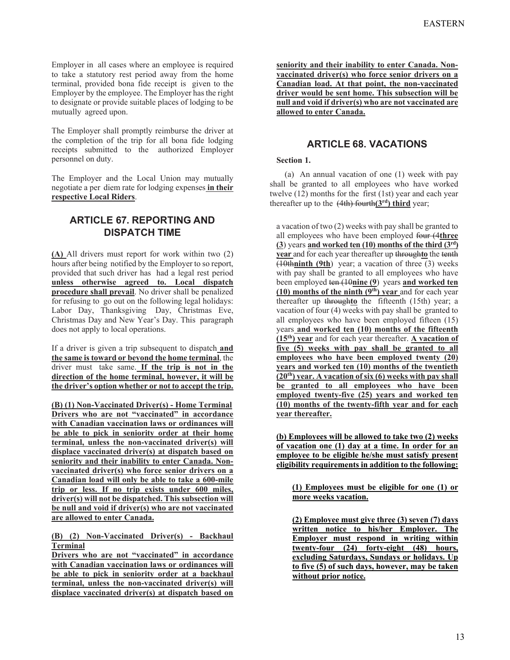Employer in all cases where an employee is required to take a statutory rest period away from the home terminal, provided bona fide receipt is given to the Employer by the employee. The Employer has the right to designate or provide suitable places of lodging to be mutually agreed upon.

The Employer shall promptly reimburse the driver at the completion of the trip for all bona fide lodging receipts submitted to the authorized Employer personnel on duty.

The Employer and the Local Union may mutually negotiate a per diem rate for lodging expenses **in their respective Local Riders**.

# **ARTICLE 67. REPORTING AND DISPATCH TIME**

**(A)** All drivers must report for work within two (2) hours after being notified by the Employer to so report, provided that such driver has had a legal rest period **unless otherwise agreed to. Local dispatch procedure shall prevail**. No driver shall be penalized for refusing to go out on the following legal holidays: Labor Day, Thanksgiving Day, Christmas Eve, Christmas Day and New Year's Day. This paragraph does not apply to local operations.

If a driver is given a trip subsequent to dispatch and **the same is toward or beyond the home terminal**, the driver must take same. **If the trip is not in the direction of the home terminal, however, it will be the driver's option whether or not to accept the trip.** 

**(B) (1) Non-Vaccinated Driver(s) - Home Terminal Drivers who are not "vaccinated" in accordance with Canadian vaccination laws or ordinances will be able to pick in seniority order at their home terminal, unless the non-vaccinated driver(s) will displace vaccinated driver(s) at dispatch based on seniority and their inability to enter Canada. Nonvaccinated driver(s) who force senior drivers on a Canadian load will only be able to take a 600-mile trip or less. If no trip exists under 600 miles, driver(s) will not be dispatched. This subsection will be null and void if driver(s) who are not vaccinated are allowed to enter Canada.** 

## **(B) (2) Non-Vaccinated Driver(s) - Backhaul Terminal**

**Drivers who are not "vaccinated" in accordance with Canadian vaccination laws or ordinances will be able to pick in seniority order at a backhaul terminal, unless the non-vaccinated driver(s) will displace vaccinated driver(s) at dispatch based on**  **seniority and their inability to enter Canada. Nonvaccinated driver(s) who force senior drivers on a Canadian load. At that point, the non-vaccinated driver would be sent home. This subsection will be null and void if driver(s) who are not vaccinated are allowed to enter Canada.** 

# **ARTICLE 68. VACATIONS**

# **Section 1.**

(a) An annual vacation of one (1) week with pay shall be granted to all employees who have worked twelve (12) months for the first (1st) year and each year thereafter up to the (4th) fourth**(3rd) third** year;

a vacation of two (2) weeks with pay shall be granted to all employees who have been employed four (4**three (3**) years **and worked ten (10) months of the third (3rd) year** and for each year thereafter up through**to** the tenth (10th**ninth (9th**) year; a vacation of three (3) weeks with pay shall be granted to all employees who have been employed ten (10**nine (9**) years **and worked ten (10) months of the ninth (9th) year** and for each year thereafter up through**to** the fifteenth (15th) year; a vacation of four (4) weeks with pay shall be granted to all employees who have been employed fifteen (15) years **and worked ten (10) months of the fifteenth (15th) year** and for each year thereafter. **A vacation of five (5) weeks with pay shall be granted to all employees who have been employed twenty (20) years and worked ten (10) months of the twentieth (20th) year. A vacation of six (6) weeks with pay shall be granted to all employees who have been employed twenty-five (25) years and worked ten (10) months of the twenty-fifth year and for each year thereafter.** 

**(b) Employees will be allowed to take two (2) weeks of vacation one (1) day at a time. In order for an employee to be eligible he/she must satisfy present eligibility requirements in addition to the following:** 

**(1) Employees must be eligible for one (1) or more weeks vacation.** 

**(2) Employee must give three (3) seven (7) days written notice to his/her Employer. The Employer must respond in writing within twenty-four (24) forty-eight (48) hours, excluding Saturdays, Sundays or holidays. Up to five (5) of such days, however, may be taken without prior notice.**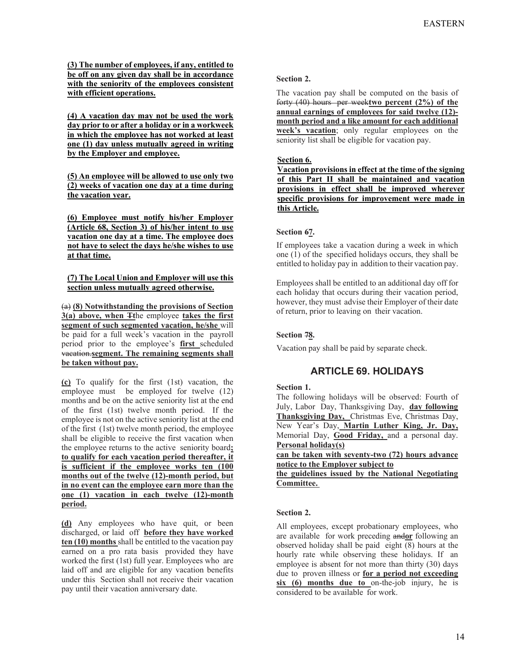**(3) The number of employees, if any, entitled to be off on any given day shall be in accordance with the seniority of the employees consistent with efficient operations.** 

**(4) A vacation day may not be used the work day prior to or after a holiday or in a workweek in which the employee has not worked at least one (1) day unless mutually agreed in writing by the Employer and employee.** 

**(5) An employee will be allowed to use only two (2) weeks of vacation one day at a time during the vacation year.** 

**(6) Employee must notify his/her Employer (Article 68, Section 3) of his/her intent to use vacation one day at a time. The employee does not have to select the days he/she wishes to use at that time.** 

### **(7) The Local Union and Employer will use this section unless mutually agreed otherwise.**

(a) **(8) Notwithstanding the provisions of Section 3(a) above, when Tt**he employee **takes the first segment of such segmented vacation, he/she** will be paid for a full week's vacation in the payroll period prior to the employee's **first** scheduled vacation.**segment. The remaining segments shall be taken without pay.**

**(c)** To qualify for the first (1st) vacation, the employee must be employed for twelve (12) months and be on the active seniority list at the end of the first (1st) twelve month period. If the employee is not on the active seniority list at the end of the first (1st) twelve month period, the employee shall be eligible to receive the first vacation when the employee returns to the active seniority board**; to qualify for each vacation period thereafter, it is sufficient if the employee works ten (100 months out of the twelve (12)-month period, but in no event can the employee earn more than the one (1) vacation in each twelve (12)-month period.**

**(d)** Any employees who have quit, or been discharged, or laid off **before they have worked ten (10) months** shall be entitled to the vacation pay earned on a pro rata basis provided they have worked the first (1st) full year. Employees who are laid off and are eligible for any vacation benefits under this Section shall not receive their vacation pay until their vacation anniversary date.

## **Section 2.**

The vacation pay shall be computed on the basis of forty (40) hours per week**two percent (2%) of the annual earnings of employees for said twelve (12) month period and a like amount for each additional week's vacation**; only regular employees on the seniority list shall be eligible for vacation pay.

## **Section 6.**

**Vacation provisions in effect at the time of the signing of this Part II shall be maintained and vacation provisions in effect shall be improved wherever specific provisions for improvement were made in this Article.** 

## **Section 67.**

If employees take a vacation during a week in which one (1) of the specified holidays occurs, they shall be entitled to holiday pay in addition to their vacation pay.

Employees shall be entitled to an additional day off for each holiday that occurs during their vacation period, however, they must advise their Employer of their date of return, prior to leaving on their vacation.

# **Section 78.**

Vacation pay shall be paid by separate check.

# **ARTICLE 69. HOLIDAYS**

## **Section 1.**

The following holidays will be observed: Fourth of July, Labor Day, Thanksgiving Day, **day following Thanksgiving Day,** Christmas Eve, Christmas Day, New Year's Day, **Martin Luther King, Jr. Day,** Memorial Day, **Good Friday,** and a personal day. **Personal holiday(s)** 

**can be taken with seventy-two (72) hours advance notice to the Employer subject to** 

**the guidelines issued by the National Negotiating Committee.**

## **Section 2.**

All employees, except probationary employees, who are available for work preceding and**or** following an observed holiday shall be paid eight  $(8)$  hours at the hourly rate while observing these holidays. If an employee is absent for not more than thirty (30) days due to proven illness or **for a period not exceeding six (6) months due to** on-the-job injury, he is considered to be available for work.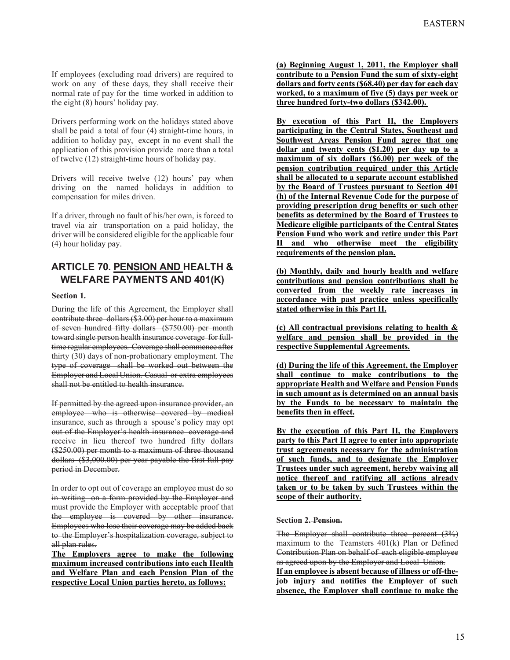If employees (excluding road drivers) are required to work on any of these days, they shall receive their normal rate of pay for the time worked in addition to the eight (8) hours' holiday pay.

Drivers performing work on the holidays stated above shall be paid a total of four (4) straight-time hours, in addition to holiday pay, except in no event shall the application of this provision provide more than a total of twelve (12) straight-time hours of holiday pay.

Drivers will receive twelve (12) hours' pay when driving on the named holidays in addition to compensation for miles driven.

If a driver, through no fault of his/her own, is forced to travel via air transportation on a paid holiday, the driver will be considered eligible for the applicable four (4) hour holiday pay.

# **ARTICLE 70. PENSION AND HEALTH & WELFARE PAYMENTS AND 401(K)**

**Section 1.** 

During the life of this Agreement, the Employer shall contribute three dollars (\$3.00) per hour to a maximum of seven hundred fifty dollars (\$750.00) per month toward single person health insurance coverage for fulltime regular employees. Coverage shall commence after thirty (30) days of non-probationary employment. The type of coverage shall be worked out between the Employer and Local Union. Casual or extra employees shall not be entitled to health insurance.

If permitted by the agreed upon insurance provider, an employee who is otherwise covered by medical insurance, such as through a spouse's policy may opt out of the Employer's health insurance coverage and receive in lieu thereof two hundred fifty dollars (\$250.00) per month to a maximum of three thousand dollars (\$3,000.00) per year payable the first full pay period in December.

In order to opt out of coverage an employee must do so in writing on a form provided by the Employer and must provide the Employer with acceptable proof that the employee is covered by other insurance. Employees who lose their coverage may be added back to the Employer's hospitalization coverage, subject to all plan rules.

**The Employers agree to make the following maximum increased contributions into each Health and Welfare Plan and each Pension Plan of the respective Local Union parties hereto, as follows:** 

**(a) Beginning August 1, 2011, the Employer shall contribute to a Pension Fund the sum of sixty-eight dollars and forty cents (\$68.40) per day for each day worked, to a maximum of five (5) days per week or three hundred forty-two dollars (\$342.00).** 

**By execution of this Part II, the Employers participating in the Central States, Southeast and Southwest Areas Pension Fund agree that one dollar and twenty cents (\$1.20) per day up to a maximum of six dollars (\$6.00) per week of the pension contribution required under this Article shall be allocated to a separate account established by the Board of Trustees pursuant to Section 401 (h) of the Internal Revenue Code for the purpose of providing prescription drug benefits or such other benefits as determined by the Board of Trustees to Medicare eligible participants of the Central States Pension Fund who work and retire under this Part**  and who otherwise meet the eligibility **requirements of the pension plan.** 

**(b) Monthly, daily and hourly health and welfare contributions and pension contributions shall be converted from the weekly rate increases in accordance with past practice unless specifically stated otherwise in this Part II.** 

**(c) All contractual provisions relating to health & welfare and pension shall be provided in the respective Supplemental Agreements.** 

**(d) During the life of this Agreement, the Employer shall continue to make contributions to the appropriate Health and Welfare and Pension Funds in such amount as is determined on an annual basis by the Funds to be necessary to maintain the benefits then in effect.** 

**By the execution of this Part II, the Employers party to this Part II agree to enter into appropriate trust agreements necessary for the administration of such funds, and to designate the Employer Trustees under such agreement, hereby waiving all notice thereof and ratifying all actions already taken or to be taken by such Trustees within the scope of their authority.** 

## **Section 2. Pension.**

The Employer shall contribute three percent (3%) maximum to the Teamsters 401(k) Plan or Defined Contribution Plan on behalf of each eligible employee as agreed upon by the Employer and Local Union.

**If an employee is absent because of illness or off-thejob injury and notifies the Employer of such absence, the Employer shall continue to make the**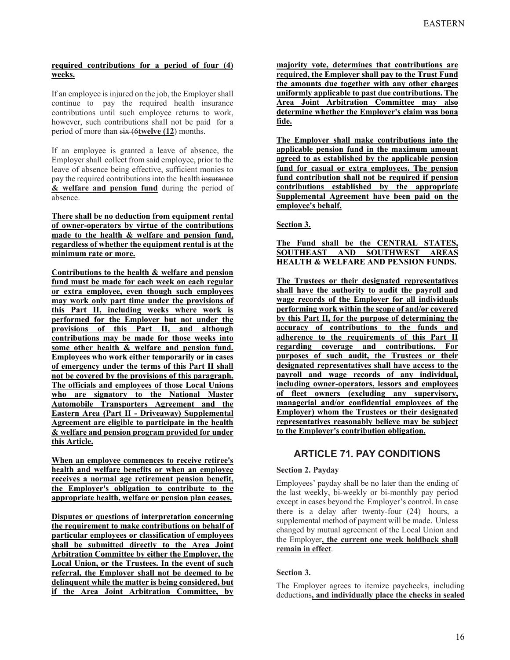## **required contributions for a period of four (4) weeks.**

If an employee is injured on the job, the Employer shall continue to pay the required health insurance contributions until such employee returns to work, however, such contributions shall not be paid for a period of more than six (6**twelve (12**) months.

If an employee is granted a leave of absence, the Employer shall collect from said employee, prior to the leave of absence being effective, sufficient monies to pay the required contributions into the health insurance **& welfare and pension fund** during the period of absence.

**There shall be no deduction from equipment rental of owner-operators by virtue of the contributions made to the health & welfare and pension fund, regardless of whether the equipment rental is at the minimum rate or more.** 

**Contributions to the health & welfare and pension fund must be made for each week on each regular or extra employee, even though such employees may work only part time under the provisions of this Part II, including weeks where work is performed for the Employer but not under the provisions of this Part II, and although contributions may be made for those weeks into some other health & welfare and pension fund. Employees who work either temporarily or in cases of emergency under the terms of this Part II shall not be covered by the provisions of this paragraph. The officials and employees of those Local Unions who are signatory to the National Master Automobile Transporters Agreement and the Eastern Area (Part II - Driveaway) Supplemental Agreement are eligible to participate in the health & welfare and pension program provided for under this Article.** 

**When an employee commences to receive retiree's health and welfare benefits or when an employee receives a normal age retirement pension benefit, the Employer's obligation to contribute to the appropriate health, welfare or pension plan ceases.** 

**Disputes or questions of interpretation concerning the requirement to make contributions on behalf of particular employees or classification of employees shall be submitted directly to the Area Joint Arbitration Committee by either the Employer, the Local Union, or the Trustees. In the event of such referral, the Employer shall not be deemed to be delinquent while the matter is being considered, but if the Area Joint Arbitration Committee, by** 

**majority vote, determines that contributions are required, the Employer shall pay to the Trust Fund the amounts due together with any other charges uniformly applicable to past due contributions. The Area Joint Arbitration Committee may also determine whether the Employer's claim was bona fide.** 

**The Employer shall make contributions into the applicable pension fund in the maximum amount agreed to as established by the applicable pension fund for casual or extra employees. The pension fund contribution shall not be required if pension contributions established by the appropriate Supplemental Agreement have been paid on the employee's behalf.** 

**Section 3.** 

**The Fund shall be the CENTRAL STATES, SOUTHEAST AND SOUTHWEST AREAS HEALTH & WELFARE AND PENSION FUNDS.** 

**The Trustees or their designated representatives shall have the authority to audit the payroll and wage records of the Employer for all individuals performing work within the scope of and/or covered by this Part II, for the purpose of determining the accuracy of contributions to the funds and adherence to the requirements of this Part II regarding coverage and contributions. For purposes of such audit, the Trustees or their designated representatives shall have access to the payroll and wage records of any individual, including owner-operators, lessors and employees of fleet owners (excluding any supervisory, managerial and/or confidential employees of the Employer) whom the Trustees or their designated representatives reasonably believe may be subject to the Employer's contribution obligation.** 

# **ARTICLE 71. PAY CONDITIONS**

# **Section 2. Payday**

Employees' payday shall be no later than the ending of the last weekly, bi-weekly or bi-monthly pay period except in cases beyond the Employer's control. In case there is a delay after twenty-four (24) hours, a supplemental method of payment will be made. Unless changed by mutual agreement of the Local Union and the Employer**, the current one week holdback shall remain in effect**.

# **Section 3.**

The Employer agrees to itemize paychecks, including deductions**, and individually place the checks in sealed**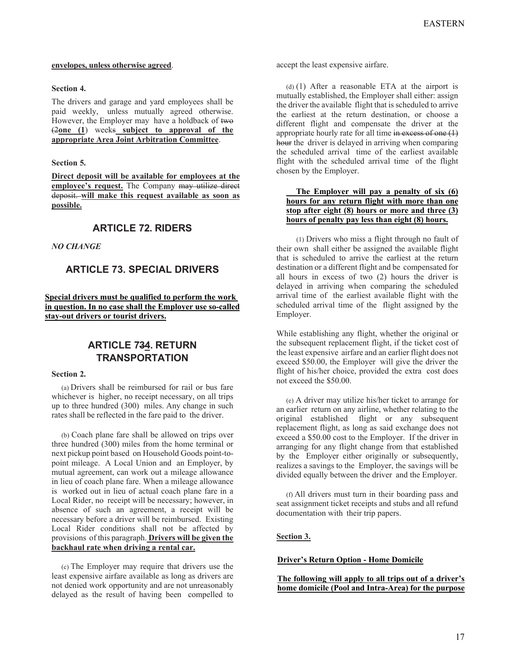#### **envelopes, unless otherwise agreed**.

#### **Section 4.**

The drivers and garage and yard employees shall be paid weekly, unless mutually agreed otherwise. However, the Employer may have a holdback of two (2**one (1**) weeks **subject to approval of the appropriate Area Joint Arbitration Committee**.

#### **Section 5.**

**Direct deposit will be available for employees at the employee's request.** The Company may utilize direct deposit. **will make this request available as soon as possible.**

# **ARTICLE 72. RIDERS**

#### *NO CHANGE*

# **ARTICLE 73. SPECIAL DRIVERS**

## **Special drivers must be qualified to perform the work in question. In no case shall the Employer use so-called stay-out drivers or tourist drivers.**

# **ARTICLE 734. RETURN TRANSPORTATION**

#### **Section 2.**

(a) Drivers shall be reimbursed for rail or bus fare whichever is higher, no receipt necessary, on all trips up to three hundred (300) miles. Any change in such rates shall be reflected in the fare paid to the driver.

(b) Coach plane fare shall be allowed on trips over three hundred (300) miles from the home terminal or next pickup point based on Household Goods point-topoint mileage. A Local Union and an Employer, by mutual agreement, can work out a mileage allowance in lieu of coach plane fare. When a mileage allowance is worked out in lieu of actual coach plane fare in a Local Rider, no receipt will be necessary; however, in absence of such an agreement, a receipt will be necessary before a driver will be reimbursed. Existing Local Rider conditions shall not be affected by provisions of this paragraph. **Drivers will be given the backhaul rate when driving a rental car.**

(c) The Employer may require that drivers use the least expensive airfare available as long as drivers are not denied work opportunity and are not unreasonably delayed as the result of having been compelled to

accept the least expensive airfare.

(d) (1) After a reasonable ETA at the airport is mutually established, the Employer shall either: assign the driver the available flight that is scheduled to arrive the earliest at the return destination, or choose a different flight and compensate the driver at the appropriate hourly rate for all time in excess of one (1) hour the driver is delayed in arriving when comparing the scheduled arrival time of the earliest available flight with the scheduled arrival time of the flight chosen by the Employer.

## **The Employer will pay a penalty of six (6) hours for any return flight with more than one stop after eight (8) hours or more and three (3) hours of penalty pay less than eight (8) hours.**

(1) Drivers who miss a flight through no fault of their own shall either be assigned the available flight that is scheduled to arrive the earliest at the return destination or a different flight and be compensated for all hours in excess of two (2) hours the driver is delayed in arriving when comparing the scheduled arrival time of the earliest available flight with the scheduled arrival time of the flight assigned by the Employer.

While establishing any flight, whether the original or the subsequent replacement flight, if the ticket cost of the least expensive airfare and an earlier flight does not exceed \$50.00, the Employer will give the driver the flight of his/her choice, provided the extra cost does not exceed the \$50.00.

(e) A driver may utilize his/her ticket to arrange for an earlier return on any airline, whether relating to the original established flight or any subsequent replacement flight, as long as said exchange does not exceed a \$50.00 cost to the Employer. If the driver in arranging for any flight change from that established by the Employer either originally or subsequently, realizes a savings to the Employer, the savings will be divided equally between the driver and the Employer.

(f) All drivers must turn in their boarding pass and seat assignment ticket receipts and stubs and all refund documentation with their trip papers.

## **Section 3.**

#### **Driver's Return Option - Home Domicile**

#### **The following will apply to all trips out of a driver's home domicile (Pool and Intra-Area) for the purpose**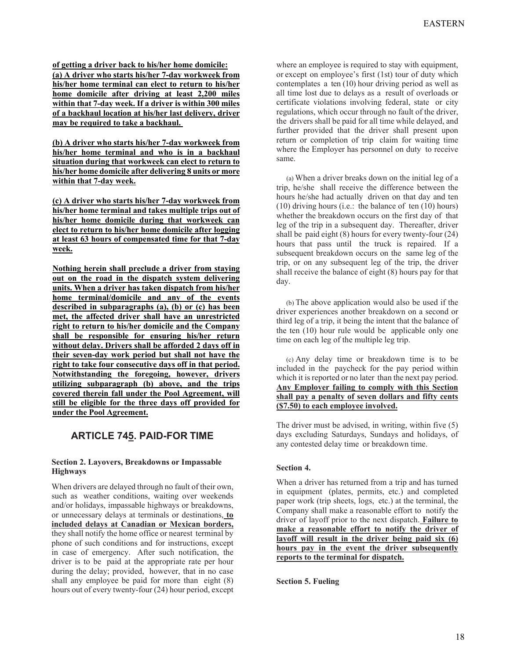**of getting a driver back to his/her home domicile: (a) A driver who starts his/her 7-day workweek from his/her home terminal can elect to return to his/her home domicile after driving at least 2,200 miles within that 7-day week. If a driver is within 300 miles of a backhaul location at his/her last delivery, driver may be required to take a backhaul.** 

**(b) A driver who starts his/her 7-day workweek from his/her home terminal and who is in a backhaul situation during that workweek can elect to return to his/her home domicile after delivering 8 units or more within that 7-day week.** 

**(c) A driver who starts his/her 7-day workweek from his/her home terminal and takes multiple trips out of his/her home domicile during that workweek can elect to return to his/her home domicile after logging at least 63 hours of compensated time for that 7-day week.** 

**Nothing herein shall preclude a driver from staying out on the road in the dispatch system delivering units. When a driver has taken dispatch from his/her home terminal/domicile and any of the events described in subparagraphs (a), (b) or (c) has been met, the affected driver shall have an unrestricted right to return to his/her domicile and the Company shall be responsible for ensuring his/her return without delay. Drivers shall be afforded 2 days off in their seven-day work period but shall not have the right to take four consecutive days off in that period. Notwithstanding the foregoing, however, drivers utilizing subparagraph (b) above, and the trips covered therein fall under the Pool Agreement, will still be eligible for the three days off provided for under the Pool Agreement.** 

# **ARTICLE 745. PAID-FOR TIME**

## **Section 2. Layovers, Breakdowns or Impassable Highways**

When drivers are delayed through no fault of their own, such as weather conditions, waiting over weekends and/or holidays, impassable highways or breakdowns, or unnecessary delays at terminals or destinations, **to included delays at Canadian or Mexican borders,** they shall notify the home office or nearest terminal by phone of such conditions and for instructions, except in case of emergency. After such notification, the driver is to be paid at the appropriate rate per hour during the delay; provided, however, that in no case shall any employee be paid for more than eight (8) hours out of every twenty-four (24) hour period, except

where an employee is required to stay with equipment, or except on employee's first (1st) tour of duty which contemplates a ten (10) hour driving period as well as all time lost due to delays as a result of overloads or certificate violations involving federal, state or city regulations, which occur through no fault of the driver, the drivers shall be paid for all time while delayed, and further provided that the driver shall present upon return or completion of trip claim for waiting time where the Employer has personnel on duty to receive same.

(a) When a driver breaks down on the initial leg of a trip, he/she shall receive the difference between the hours he/she had actually driven on that day and ten (10) driving hours (i.e.: the balance of ten  $(10)$  hours) whether the breakdown occurs on the first day of that leg of the trip in a subsequent day. Thereafter, driver shall be paid eight (8) hours for every twenty-four (24) hours that pass until the truck is repaired. If a subsequent breakdown occurs on the same leg of the trip, or on any subsequent leg of the trip, the driver shall receive the balance of eight (8) hours pay for that day.

(b) The above application would also be used if the driver experiences another breakdown on a second or third leg of a trip, it being the intent that the balance of the ten (10) hour rule would be applicable only one time on each leg of the multiple leg trip.

(c) Any delay time or breakdown time is to be included in the paycheck for the pay period within which it is reported or no later than the next pay period. **Any Employer failing to comply with this Section shall pay a penalty of seven dollars and fifty cents (\$7.50) to each employee involved.**

The driver must be advised, in writing, within five (5) days excluding Saturdays, Sundays and holidays, of any contested delay time or breakdown time.

# **Section 4.**

When a driver has returned from a trip and has turned in equipment (plates, permits, etc.) and completed paper work (trip sheets, logs, etc.) at the terminal, the Company shall make a reasonable effort to notify the driver of layoff prior to the next dispatch. **Failure to make a reasonable effort to notify the driver of layoff will result in the driver being paid six (6) hours pay in the event the driver subsequently reports to the terminal for dispatch.**

**Section 5. Fueling**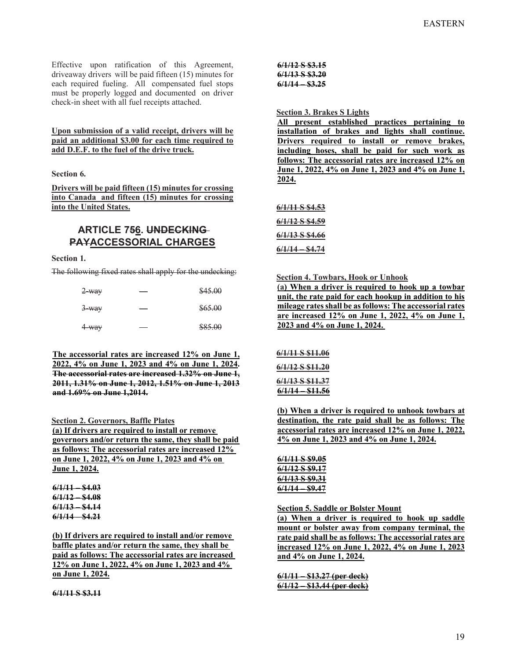Effective upon ratification of this Agreement, driveaway drivers will be paid fifteen (15) minutes for each required fueling. All compensated fuel stops must be properly logged and documented on driver check-in sheet with all fuel receipts attached.

### **Upon submission of a valid receipt, drivers will be paid an additional \$3.00 for each time required to add D.E.F. to the fuel of the drive truck.**

#### **Section 6.**

**Drivers will be paid fifteen (15) minutes for crossing into Canada and fifteen (15) minutes for crossing into the United States.** 

# **ARTICLE 756. UNDECKING PAYACCESSORIAL CHARGES**

#### **Section 1.**

The following fixed rates shall apply for the undecking:

| $2$ way | \$45.00 |
|---------|---------|
| $3$ way | \$65.00 |
| 4 way   | \$85.00 |

**The accessorial rates are increased 12% on June 1, 2022, 4% on June 1, 2023 and 4% on June 1, 2024. The accessorial rates are increased 1.32% on June 1, 2011, 1.31% on June 1, 2012, 1.51% on June 1, 2013 and 1.69% on June 1,2014.** 

#### **Section 2. Governors, Baffle Plates**

**(a) If drivers are required to install or remove governors and/or return the same, they shall be paid as follows: The accessorial rates are increased 12% on June 1, 2022, 4% on June 1, 2023 and 4% on June 1, 2024.** 

| 6/1/11          | \$4.03        |
|-----------------|---------------|
| <u>6/1/12 —</u> | <b>\$4.08</b> |
| 6/1/13 —        | <b>\$4.14</b> |
| <u>6/1/14 —</u> | <u>\$4.21</u> |
|                 |               |

**(b) If drivers are required to install and/or remove baffle plates and/or return the same, they shall be paid as follows: The accessorial rates are increased 12% on June 1, 2022, 4% on June 1, 2023 and 4% on June 1, 2024.** 

**6/1/11 S \$3.11** 

**6/1/12 S \$3.15 6/1/13 S \$3.20 6/1/14 – \$3.25** 

#### **Section 3. Brakes S Lights**

**All present established practices pertaining to installation of brakes and lights shall continue. Drivers required to install or remove brakes, including hoses, shall be paid for such work as follows: The accessorial rates are increased 12% on June 1, 2022, 4% on June 1, 2023 and 4% on June 1, 2024.** 

**6/1/11 S \$4.53** 

**6/1/12 S \$4.59** 

**6/1/13 S \$4.66** 

**6/1/14 – \$4.74** 

**Section 4. Towbars, Hook or Unhook** 

**(a) When a driver is required to hook up a towbar unit, the rate paid for each hookup in addition to his mileage rates shall be as follows: The accessorial rates are increased 12% on June 1, 2022, 4% on June 1, 2023 and 4% on June 1, 2024.** 

**6/1/11 S \$11.06 6/1/12 S \$11.20 6/1/13 S \$11.37 6/1/14 – \$11.56** 

**(b) When a driver is required to unhook towbars at destination, the rate paid shall be as follows: The accessorial rates are increased 12% on June 1, 2022, 4% on June 1, 2023 and 4% on June 1, 2024.** 

**6/1/11 S \$9.05 6/1/12 S \$9.17 6/1/13 S \$9.31 6/1/14 – \$9.47** 

**Section 5. Saddle or Bolster Mount** 

**(a) When a driver is required to hook up saddle mount or bolster away from company terminal, the rate paid shall be as follows: The accessorial rates are increased 12% on June 1, 2022, 4% on June 1, 2023 and 4% on June 1, 2024.** 

**6/1/11 – \$13.27 (per deck) 6/1/12 – \$13.44 (per deck)**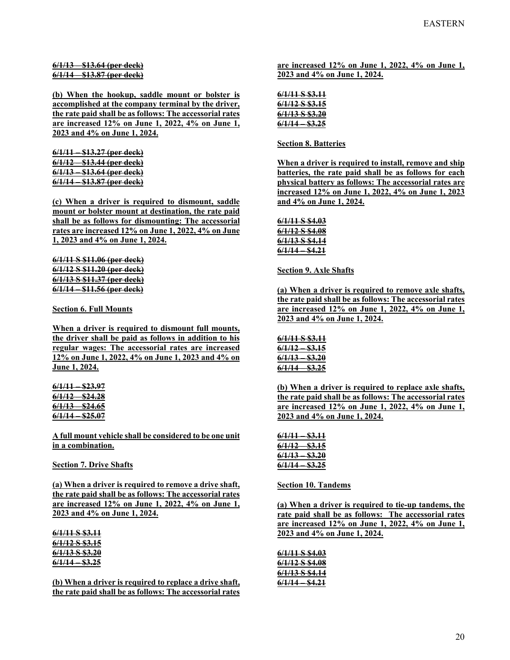**6/1/13 – \$13.64 (per deck) 6/1/14 – \$13.87 (per deck)** 

**(b) When the hookup, saddle mount or bolster is accomplished at the company terminal by the driver, the rate paid shall be as follows: The accessorial rates are increased 12% on June 1, 2022, 4% on June 1, 2023 and 4% on June 1, 2024.** 

**6/1/11 – \$13.27 (per deck) 6/1/12 – \$13.44 (per deck) 6/1/13 – \$13.64 (per deck) 6/1/14 – \$13.87 (per deck)** 

**(c) When a driver is required to dismount, saddle mount or bolster mount at destination, the rate paid shall be as follows for dismounting: The accessorial rates are increased 12% on June 1, 2022, 4% on June 1, 2023 and 4% on June 1, 2024.** 

**6/1/11 S \$11.06 (per deck) 6/1/12 S \$11.20 (per deck) 6/1/13 S \$11.37 (per deck) 6/1/14 – \$11.56 (per deck)** 

**Section 6. Full Mounts** 

**When a driver is required to dismount full mounts, the driver shall be paid as follows in addition to his regular wages: The accessorial rates are increased 12% on June 1, 2022, 4% on June 1, 2023 and 4% on June 1, 2024.** 

**6/1/11 – \$23.97 6/1/12 – \$24.28 6/1/13 – \$24.65 6/1/14 – \$25.07** 

**A full mount vehicle shall be considered to be one unit in a combination.** 

**Section 7. Drive Shafts** 

**(a) When a driver is required to remove a drive shaft, the rate paid shall be as follows: The accessorial rates are increased 12% on June 1, 2022, 4% on June 1, 2023 and 4% on June 1, 2024.** 

**6/1/11 S \$3.11 6/1/12 S \$3.15 6/1/13 S \$3.20 6/1/14 – \$3.25** 

**(b) When a driver is required to replace a drive shaft, the rate paid shall be as follows: The accessorial rates**  **are increased 12% on June 1, 2022, 4% on June 1, 2023 and 4% on June 1, 2024.** 

| <u>6/1/11 S \$3.11</u> |
|------------------------|
| <u>6/1/12 S \$3.15</u> |
| <u>6/1/13 S \$3.20</u> |
| <u>6/1/14 - \$3.25</u> |

**Section 8. Batteries** 

**When a driver is required to install, remove and ship batteries, the rate paid shall be as follows for each physical battery as follows: The accessorial rates are increased 12% on June 1, 2022, 4% on June 1, 2023 and 4% on June 1, 2024.** 

**6/1/11 S \$4.03 6/1/12 S \$4.08 6/1/13 S \$4.14 6/1/14 – \$4.21** 

**Section 9. Axle Shafts** 

**(a) When a driver is required to remove axle shafts, the rate paid shall be as follows: The accessorial rates are increased 12% on June 1, 2022, 4% on June 1, 2023 and 4% on June 1, 2024.** 

**6/1/11 S \$3.11 6/1/12 – \$3.15 6/1/13 – \$3.20 6/1/14 – \$3.25** 

**(b) When a driver is required to replace axle shafts, the rate paid shall be as follows: The accessorial rates are increased 12% on June 1, 2022, 4% on June 1, 2023 and 4% on June 1, 2024.** 

| <del>6/1/11</del>   | <del>\$3.11</del> |
|---------------------|-------------------|
| <del>6/1/12 -</del> | S3.15             |
| <del>6/1/13 -</del> | <del>\$3.20</del> |
| 6/1/14              | <b>\$3.25</b>     |
|                     |                   |

**Section 10. Tandems** 

**(a) When a driver is required to tie-up tandems, the rate paid shall be as follows: The accessorial rates are increased 12% on June 1, 2022, 4% on June 1, 2023 and 4% on June 1, 2024.** 

| <u>6/1/11 S \$4.03</u> |
|------------------------|
| <u>6/1/12 S \$4.08</u> |
| <u>6/1/13 S \$4.14</u> |
| <u>6/1/14 – \$4.21</u> |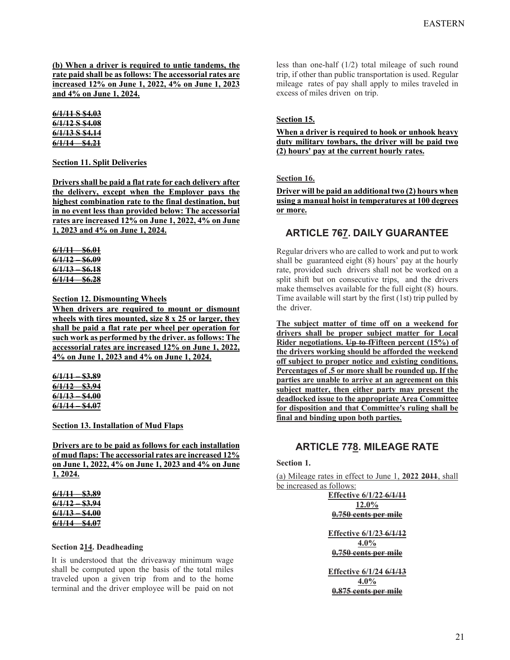**(b) When a driver is required to untie tandems, the rate paid shall be as follows: The accessorial rates are increased 12% on June 1, 2022, 4% on June 1, 2023 and 4% on June 1, 2024.** 

**6/1/11 S \$4.03 6/1/12 S \$4.08 6/1/13 S \$4.14 6/1/14 – \$4.21** 

## **Section 11. Split Deliveries**

**Drivers shall be paid a flat rate for each delivery after the delivery, except when the Employer pays the highest combination rate to the final destination, but in no event less than provided below: The accessorial rates are increased 12% on June 1, 2022, 4% on June 1, 2023 and 4% on June 1, 2024.** 

| 6/1/11        | S6.01            |
|---------------|------------------|
| 6/1/12        | S6.09            |
| <u>6/1/13</u> | S6.18            |
| <u>6/1/14</u> | <del>86.28</del> |

**Section 12. Dismounting Wheels** 

**When drivers are required to mount or dismount wheels with tires mounted, size 8 x 25 or larger, they shall be paid a flat rate per wheel per operation for such work as performed by the driver. as follows: The accessorial rates are increased 12% on June 1, 2022, 4% on June 1, 2023 and 4% on June 1, 2024.** 

| 6/1/11            | <u>\$3.89</u>     |
|-------------------|-------------------|
| 6/1/12            | <u>\$3.94</u>     |
| 6/1/13            | <b>\$4.00</b>     |
| <del>6/1/14</del> | <del>\$4.07</del> |

**Section 13. Installation of Mud Flaps** 

**Drivers are to be paid as follows for each installation of mud flaps: The accessorial rates are increased 12% on June 1, 2022, 4% on June 1, 2023 and 4% on June 1, 2024.** 

| 6/1/11            | <u>\$3.89</u> |
|-------------------|---------------|
| 6/1/12            | <u>\$3.94</u> |
|                   |               |
| <del>6/1/13</del> | <b>\$4.00</b> |

#### **Section 214. Deadheading**

It is understood that the driveaway minimum wage shall be computed upon the basis of the total miles traveled upon a given trip from and to the home terminal and the driver employee will be paid on not less than one-half (1/2) total mileage of such round trip, if other than public transportation is used. Regular mileage rates of pay shall apply to miles traveled in excess of miles driven on trip.

#### **Section 15.**

**When a driver is required to hook or unhook heavy duty military towbars, the driver will be paid two (2) hours' pay at the current hourly rates.** 

#### **Section 16.**

**Driver will be paid an additional two (2) hours when using a manual hoist in temperatures at 100 degrees or more.** 

# **ARTICLE 767. DAILY GUARANTEE**

Regular drivers who are called to work and put to work shall be guaranteed eight (8) hours' pay at the hourly rate, provided such drivers shall not be worked on a split shift but on consecutive trips, and the drivers make themselves available for the full eight (8) hours. Time available will start by the first (1st) trip pulled by the driver.

**The subject matter of time off on a weekend for drivers shall be proper subject matter for Local Rider negotiations. Up to fFifteen percent (15%) of the drivers working should be afforded the weekend off subject to proper notice and existing conditions. Percentages of .5 or more shall be rounded up. If the parties are unable to arrive at an agreement on this subject matter, then either party may present the deadlocked issue to the appropriate Area Committee for disposition and that Committee's ruling shall be final and binding upon both parties.** 

# **ARTICLE 778. MILEAGE RATE**

**Section 1.** 

(a) Mileage rates in effect to June 1, **2022 2011**, shall be increased as follows:

> **Effective 6/1/22 6/1/11 12.0% 0.750 cents per mile Effective 6/1/23 6/1/12 4.0% 0.750 cents per mile Effective 6/1/24 6/1/13 4.0% 0.875 cents per mile**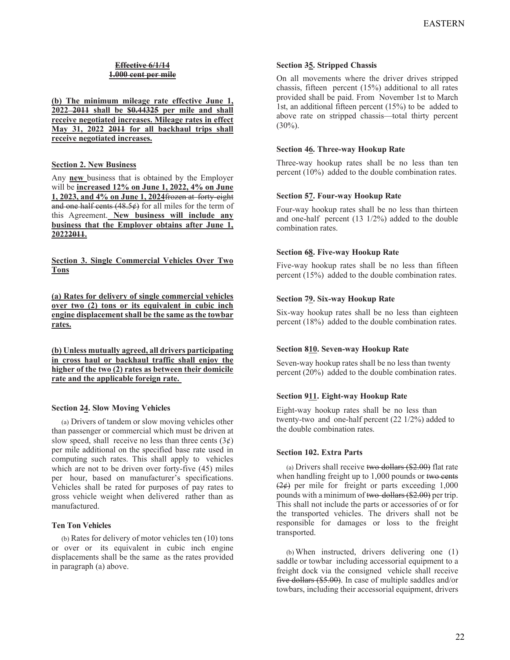# **Effective 6/1/14 1.000 cent per mile**

**(b) The minimum mileage rate effective June 1, 2022 2011 shall be \$0.44325 per mile and shall receive negotiated increases. Mileage rates in effect May 31, 2022 2011 for all backhaul trips shall receive negotiated increases.** 

### **Section 2. New Business**

Any **new** business that is obtained by the Employer will be **increased 12% on June 1, 2022, 4% on June 1, 2023, and 4% on June 1, 2024**frozen at forty-eight and one half cents  $(48.5)$  for all miles for the term of this Agreement. **New business will include any business that the Employer obtains after June 1, 20222011.** 

**Section 3. Single Commercial Vehicles Over Two Tons** 

**(a) Rates for delivery of single commercial vehicles over two (2) tons or its equivalent in cubic inch engine displacement shall be the same as the towbar rates.** 

**(b) Unless mutually agreed, all drivers participating in cross haul or backhaul traffic shall enjoy the higher of the two (2) rates as between their domicile rate and the applicable foreign rate.** 

## **Section 24. Slow Moving Vehicles**

(a) Drivers of tandem or slow moving vehicles other than passenger or commercial which must be driven at slow speed, shall receive no less than three cents  $(3¢)$ per mile additional on the specified base rate used in computing such rates. This shall apply to vehicles which are not to be driven over forty-five (45) miles per hour, based on manufacturer's specifications. Vehicles shall be rated for purposes of pay rates to gross vehicle weight when delivered rather than as manufactured.

#### **Ten Ton Vehicles**

(b) Rates for delivery of motor vehicles ten (10) tons or over or its equivalent in cubic inch engine displacements shall be the same as the rates provided in paragraph (a) above.

#### **Section 35. Stripped Chassis**

On all movements where the driver drives stripped chassis, fifteen percent (15%) additional to all rates provided shall be paid. From November 1st to March 1st, an additional fifteen percent (15%) to be added to above rate on stripped chassis—total thirty percent  $(30\%)$ .

## **Section 46. Three-way Hookup Rate**

Three-way hookup rates shall be no less than ten percent (10%) added to the double combination rates.

#### **Section 57. Four-way Hookup Rate**

Four-way hookup rates shall be no less than thirteen and one-half percent (13 1/2%) added to the double combination rates.

## **Section 68. Five-way Hookup Rate**

Five-way hookup rates shall be no less than fifteen percent (15%) added to the double combination rates.

#### **Section 79. Six-way Hookup Rate**

Six-way hookup rates shall be no less than eighteen percent (18%) added to the double combination rates.

## **Section 810. Seven-way Hookup Rate**

Seven-way hookup rates shall be no less than twenty percent (20%) added to the double combination rates.

## **Section 911. Eight-way Hookup Rate**

Eight-way hookup rates shall be no less than twenty-two and one-half percent (22 1/2%) added to the double combination rates.

#### **Section 102. Extra Parts**

(a) Drivers shall receive two dollars (\$2.00) flat rate when handling freight up to 1,000 pounds or two cents  $(2, \frac{\cancel{2}}{\cancel{2}})$  per mile for freight or parts exceeding 1,000 pounds with a minimum of two dollars (\$2.00) per trip. This shall not include the parts or accessories of or for the transported vehicles. The drivers shall not be responsible for damages or loss to the freight transported.

(b) When instructed, drivers delivering one (1) saddle or towbar including accessorial equipment to a freight dock via the consigned vehicle shall receive five dollars (\$5.00). In case of multiple saddles and/or towbars, including their accessorial equipment, drivers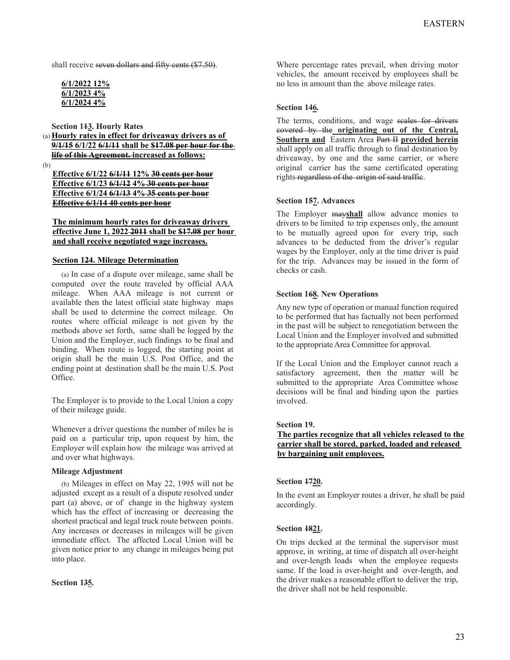shall receive seven dollars and fifty cents (\$7.50).

| 6/1/2022 12% |  |
|--------------|--|
| 6/1/2023 4%  |  |
| 6/1/2024 4%  |  |

**Section 113. Hourly Rates** 

(a) **Hourly rates in effect for driveaway drivers as of 9/1/15 6/1/22 6/1/11 shall be \$17.08 per hour for the life of this Agreement. increased as follows:** 

(b)

**Effective 6/1/22 6/1/11 12% 30 cents per hour Effective 6/1/23 6/1/12 4% 30 cents per hour Effective 6/1/24 6/1/13 4% 35 cents per hour Effective 6/1/14 40 cents per hour** 

**The minimum hourly rates for driveaway drivers effective June 1, 2022 2011 shall be \$17.08 per hour and shall receive negotiated wage increases.** 

## **Section 124. Mileage Determination**

(a) In case of a dispute over mileage, same shall be computed over the route traveled by official AAA mileage. When AAA mileage is not current or available then the latest official state highway maps shall be used to determine the correct mileage. On routes where official mileage is not given by the methods above set forth, same shall be logged by the Union and the Employer, such findings to be final and binding. When route is logged, the starting point at origin shall be the main U.S. Post Office, and the ending point at destination shall be the main U.S. Post Office.

The Employer is to provide to the Local Union a copy of their mileage guide.

Whenever a driver questions the number of miles he is paid on a particular trip, upon request by him, the Employer will explain how the mileage was arrived at and over what highways.

## **Mileage Adjustment**

(b) Mileages in effect on May 22, 1995 will not be adjusted except as a result of a dispute resolved under part (a) above, or of change in the highway system which has the effect of increasing or decreasing the shortest practical and legal truck route between points. Any increases or decreases in mileages will be given immediate effect. The affected Local Union will be given notice prior to any change in mileages being put into place.

## **Section 135.**

Where percentage rates prevail, when driving motor vehicles, the amount received by employees shall be no less in amount than the above mileage rates.

## **Section 146.**

The terms, conditions, and wage seales for drivers covered by the **originating out of the Central, Southern and** Eastern Area Part II **provided herein**  shall apply on all traffic through to final destination by driveaway, by one and the same carrier, or where original carrier has the same certificated operating rights-regardless of the origin of said traffic.

## **Section 157. Advances**

The Employer may**shall** allow advance monies to drivers to be limited to trip expenses only, the amount to be mutually agreed upon for every trip, such advances to be deducted from the driver's regular wages by the Employer, only at the time driver is paid for the trip. Advances may be issued in the form of checks or cash.

## **Section 168. New Operations**

Any new type of operation or manual function required to be performed that has factually not been performed in the past will be subject to renegotiation between the Local Union and the Employer involved and submitted to the appropriate Area Committee for approval.

If the Local Union and the Employer cannot reach a satisfactory agreement, then the matter will be submitted to the appropriate Area Committee whose decisions will be final and binding upon the parties involved.

## **Section 19.**

## **The parties recognize that all vehicles released to the carrier shall be stored, parked, loaded and released by bargaining unit employees.**

# **Section 1720.**

In the event an Employer routes a driver, he shall be paid accordingly.

## **Section 1821.**

On trips decked at the terminal the supervisor must approve, in writing, at time of dispatch all over-height and over-length loads when the employee requests same. If the load is over-height and over-length, and the driver makes a reasonable effort to deliver the trip, the driver shall not be held responsible.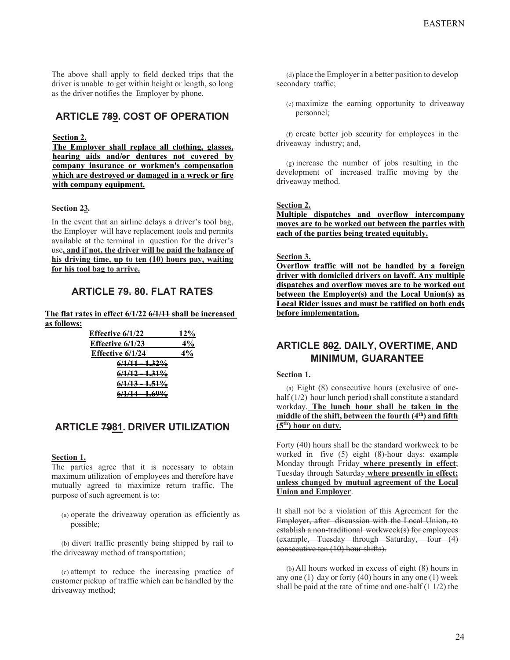The above shall apply to field decked trips that the driver is unable to get within height or length, so long as the driver notifies the Employer by phone.

# **ARTICLE 789. COST OF OPERATION**

### **Section 2.**

**The Employer shall replace all clothing, glasses, hearing aids and/or dentures not covered by company insurance or workmen's compensation which are destroyed or damaged in a wreck or fire with company equipment.** 

#### **Section 23.**

In the event that an airline delays a driver's tool bag, the Employer will have replacement tools and permits available at the terminal in question for the driver's use**, and if not, the driver will be paid the balance of his driving time, up to ten (10) hours pay, waiting for his tool bag to arrive.**

# **ARTICLE 79. 80. FLAT RATES**

#### **The flat rates in effect 6/1/22 6/1/11 shall be increased as follows:**

| Effective 6/1/22          | 12%   |
|---------------------------|-------|
| Effective $6/1/23$        | 4%    |
| Effective $6/1/24$        | $4\%$ |
| <del>6/1/11 - 1.32%</del> |       |
| $6/1/12 - 1.31\%$         |       |
| <u>6/1/13 - 1.51%</u>     |       |
| <u>6/1/14 - 1.69%</u>     |       |

# **ARTICLE 7981. DRIVER UTILIZATION**

#### **Section 1.**

The parties agree that it is necessary to obtain maximum utilization of employees and therefore have mutually agreed to maximize return traffic. The purpose of such agreement is to:

(a) operate the driveaway operation as efficiently as possible;

(b) divert traffic presently being shipped by rail to the driveaway method of transportation;

(c) attempt to reduce the increasing practice of customer pickup of traffic which can be handled by the driveaway method;

(d) place the Employer in a better position to develop secondary traffic;

(e) maximize the earning opportunity to driveaway personnel;

(f) create better job security for employees in the driveaway industry; and,

(g) increase the number of jobs resulting in the development of increased traffic moving by the driveaway method.

### **Section 2.**

**Multiple dispatches and overflow intercompany moves are to be worked out between the parties with each of the parties being treated equitably.** 

#### **Section 3.**

**Overflow traffic will not be handled by a foreign driver with domiciled drivers on layoff. Any multiple dispatches and overflow moves are to be worked out between the Employer(s) and the Local Union(s) as Local Rider issues and must be ratified on both ends before implementation.** 

# **ARTICLE 802. DAILY, OVERTIME, AND MINIMUM, GUARANTEE**

#### **Section 1.**

(a) Eight (8) consecutive hours (exclusive of onehalf (1/2) hour lunch period) shall constitute a standard workday. **The lunch hour shall be taken in the middle of the shift, between the fourth (4th) and fifth (5th) hour on duty.**

Forty (40) hours shall be the standard workweek to be worked in five (5) eight (8)-hour days: example Monday through Friday **where presently in effect**; Tuesday through Saturday **where presently in effect; unless changed by mutual agreement of the Local Union and Employer**.

It shall not be a violation of this Agreement for the Employer, after discussion with the Local Union, to establish a non-traditional workweek(s) for employees (example, Tuesday through Saturday, four (4) consecutive ten (10) hour shifts).

(b) All hours worked in excess of eight (8) hours in any one  $(1)$  day or forty  $(40)$  hours in any one  $(1)$  week shall be paid at the rate of time and one-half  $(1 1/2)$  the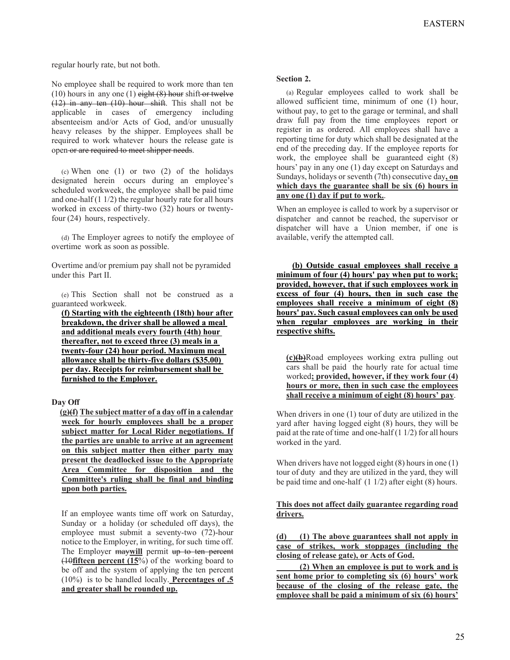regular hourly rate, but not both.

No employee shall be required to work more than ten (10) hours in any one (1) eight  $(8)$  hour shift or twelve (12) in any ten (10) hour shift. This shall not be applicable in cases of emergency including absenteeism and/or Acts of God, and/or unusually heavy releases by the shipper. Employees shall be required to work whatever hours the release gate is open or are required to meet shipper needs.

(c) When one  $(1)$  or two  $(2)$  of the holidays designated herein occurs during an employee's scheduled workweek, the employee shall be paid time and one-half (1 1/2) the regular hourly rate for all hours worked in excess of thirty-two (32) hours or twentyfour (24) hours, respectively.

(d) The Employer agrees to notify the employee of overtime work as soon as possible.

Overtime and/or premium pay shall not be pyramided under this Part II.

(e) This Section shall not be construed as a guaranteed workweek.

**(f) Starting with the eighteenth (18th) hour after breakdown, the driver shall be allowed a meal and additional meals every fourth (4th) hour thereafter, not to exceed three (3) meals in a twenty-four (24) hour period. Maximum meal allowance shall be thirty-five dollars (\$35.00) per day. Receipts for reimbursement shall be furnished to the Employer.** 

## **Day Off**

**(g)(f) The subject matter of a day off in a calendar week for hourly employees shall be a proper subject matter for Local Rider negotiations. If the parties are unable to arrive at an agreement on this subject matter then either party may present the deadlocked issue to the Appropriate Area Committee for disposition and the Committee's ruling shall be final and binding upon both parties.** 

If an employee wants time off work on Saturday, Sunday or a holiday (or scheduled off days), the employee must submit a seventy-two (72)-hour notice to the Employer, in writing, for such time off. The Employer maywill permit up to ten percent (10**fifteen percent (15**%) of the working board to be off and the system of applying the ten percent (10%) is to be handled locally. **Percentages of .5 and greater shall be rounded up.**

#### **Section 2.**

(a) Regular employees called to work shall be allowed sufficient time, minimum of one (1) hour, without pay, to get to the garage or terminal, and shall draw full pay from the time employees report or register in as ordered. All employees shall have a reporting time for duty which shall be designated at the end of the preceding day. If the employee reports for work, the employee shall be guaranteed eight (8) hours' pay in any one (1) day except on Saturdays and Sundays, holidays or seventh (7th) consecutive day**, on which days the guarantee shall be six (6) hours in any one (1) day if put to work.**.

When an employee is called to work by a supervisor or dispatcher and cannot be reached, the supervisor or dispatcher will have a Union member, if one is available, verify the attempted call.

**(b) Outside casual employees shall receive a minimum of four (4) hours' pay when put to work; provided, however, that if such employees work in excess of four (4) hours, then in such case the employees shall receive a minimum of eight (8) hours' pay. Such casual employees can only be used when regular employees are working in their respective shifts.** 

**(c)(b)**Road employees working extra pulling out cars shall be paid the hourly rate for actual time worked**; provided, however, if they work four (4) hours or more, then in such case the employees shall receive a minimum of eight (8) hours' pay**.

When drivers in one (1) tour of duty are utilized in the yard after having logged eight (8) hours, they will be paid at the rate of time and one-half (1 1/2) for all hours worked in the yard.

When drivers have not logged eight (8) hours in one (1) tour of duty and they are utilized in the yard, they will be paid time and one-half (1 1/2) after eight (8) hours.

## **This does not affect daily guarantee regarding road drivers.**

**(d) (1) The above guarantees shall not apply in case of strikes, work stoppages (including the closing of release gate), or Acts of God.** 

 **(2) When an employee is put to work and is sent home prior to completing six (6) hours' work because of the closing of the release gate, the employee shall be paid a minimum of six (6) hours'**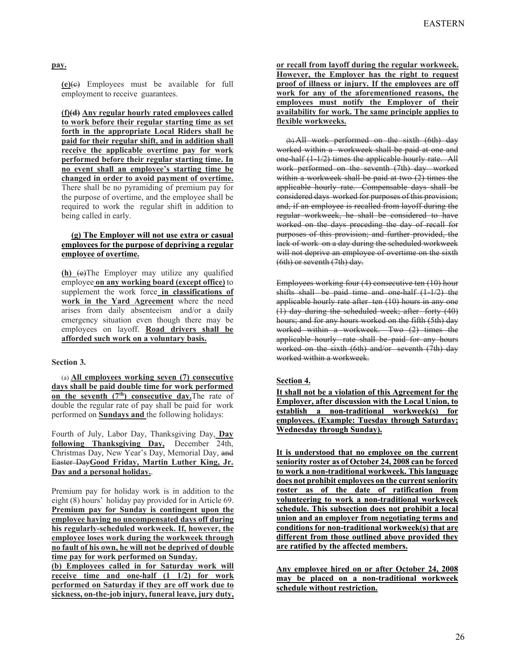**pay.**

**(e)**(c) Employees must be available for full employment to receive guarantees.

**(f)(d) Any regular hourly rated employees called to work before their regular starting time as set forth in the appropriate Local Riders shall be paid for their regular shift, and in addition shall receive the applicable overtime pay for work performed before their regular starting time. In no event shall an employee's starting time be changed in order to avoid payment of overtime.**  There shall be no pyramiding of premium pay for the purpose of overtime, and the employee shall be required to work the regular shift in addition to being called in early.

## **(g) The Employer will not use extra or casual employees for the purpose of depriving a regular employee of overtime.**

**(h)** (e)The Employer may utilize any qualified employee **on any working board (except office)** to supplement the work force in classifications of **work in the Yard Agreement** where the need arises from daily absenteeism and/or a daily emergency situation even though there may be employees on layoff. **Road drivers shall be afforded such work on a voluntary basis.**

## **Section 3.**

(a) **All employees working seven (7) consecutive days shall be paid double time for work performed**  on the seventh (7<sup>th</sup>) consecutive day. The rate of double the regular rate of pay shall be paid for work performed on **Sundays and** the following holidays:

Fourth of July, Labor Day, Thanksgiving Day, **Day following Thanksgiving Day,** December 24th, Christmas Day, New Year's Day, Memorial Day, and Easter Day**Good Friday, Martin Luther King, Jr. Day and a personal holiday.**.

Premium pay for holiday work is in addition to the eight (8) hours' holiday pay provided for in Article 69. **Premium pay for Sunday is contingent upon the employee having no uncompensated days off during his regularly-scheduled workweek. If, however, the employee loses work during the workweek through no fault of his own, he will not be deprived of double time pay for work performed on Sunday.** 

**(b) Employees called in for Saturday work will receive time and one-half (1 1/2) for work performed on Saturday if they are off work due to sickness, on-the-job injury, funeral leave, jury duty,** 

**or recall from layoff during the regular workweek. However, the Employer has the right to request proof of illness or injury. If the employees are off work for any of the aforementioned reasons, the employees must notify the Employer of their availability for work. The same principle applies to flexible workweeks.**

(b) All work performed on the sixth (6th) day worked within a workweek shall be paid at one and one-half (1-1/2) times the applicable hourly rate. All work performed on the seventh (7th) day worked within a workweek shall be paid at two (2) times the applicable hourly rate. Compensable days shall be considered days worked for purposes of this provision; and, if an employee is recalled from layoff during the regular workweek, he shall be considered to have worked on the days preceding the day of recall for purposes of this provision; and further provided, the lack of work on a day during the scheduled workweek will not deprive an employee of overtime on the sixth (6th) or seventh (7th) day.

Employees working four (4) consecutive ten (10) hour shifts shall be paid time and one-half  $(1-1/2)$  the applicable hourly rate after ten (10) hours in any one (1) day during the scheduled week; after forty (40) hours; and for any hours worked on the fifth (5th) day worked within a workweek. Two (2) times the applicable hourly rate shall be paid for any hours worked on the sixth (6th) and/or seventh (7th) day worked within a workweek.

### **Section 4.**

**It shall not be a violation of this Agreement for the Employer, after discussion with the Local Union, to establish a non-traditional workweek(s) for employees. (Example: Tuesday through Saturday; Wednesday through Sunday).** 

**It is understood that no employee on the current seniority roster as of October 24, 2008 can be forced to work a non-traditional workweek. This language does not prohibit employees on the current seniority roster as of the date of ratification from volunteering to work a non-traditional workweek schedule. This subsection does not prohibit a local union and an employer from negotiating terms and conditions for non-traditional workweek(s) that are different from those outlined above provided they are ratified by the affected members.** 

**Any employee hired on or after October 24, 2008 may be placed on a non-traditional workweek schedule without restriction.**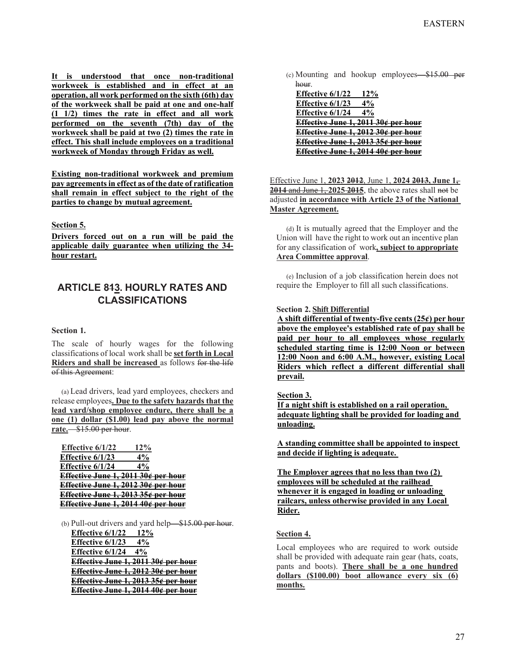**It is understood that once non-traditional workweek is established and in effect at an operation, all work performed on the sixth (6th) day of the workweek shall be paid at one and one-half (1 1/2) times the rate in effect and all work performed on the seventh (7th) day of the workweek shall be paid at two (2) times the rate in effect. This shall include employees on a traditional workweek of Monday through Friday as well.** 

**Existing non-traditional workweek and premium pay agreements in effect as of the date of ratification shall remain in effect subject to the right of the parties to change by mutual agreement.** 

## **Section 5.**

**Drivers forced out on a run will be paid the applicable daily guarantee when utilizing the 34 hour restart.**

# **ARTICLE 813. HOURLY RATES AND CLASSIFICATIONS**

#### **Section 1.**

The scale of hourly wages for the following classifications of local work shall be **set forth in Local Riders and shall be increased** as follows for the life of this Agreement:

(a) Lead drivers, lead yard employees, checkers and release employees**. Due to the safety hazards that the lead yard/shop employee endure, there shall be a one (1) dollar (\$1.00) lead pay above the normal rate.**—\$15.00 per hour.

**Effective 6/1/22 12% Effective 6/1/23 4% Effective 6/1/24 4% Effective June 1, 2011 30¢ per hour Effective June 1, 2012 30¢ per hour Effective June 1, 2013 35¢ per hour Effective June 1, 2014 40¢ per hour** 

(b) Pull-out drivers and yard help— $$15.00$  per hour. **Effective 6/1/22 12% Effective 6/1/23 4% Effective 6/1/24 4% Effective June 1, 2011 30¢ per hour Effective June 1, 2012 30¢ per hour Effective June 1, 2013 35¢ per hour Effective June 1, 2014 40¢ per hour** 

(c) Mounting and hookup employees—\$15.00 per hour.

**Effective 6/1/22 12%**<br>**Effective 6/1/23 4% Effective 6/1/23 4% Effective 6/1/24 Effective June 1, 2011 30¢ per hour Effective June 1, 2012 30¢ per hour Effective June 1, 2013 35¢ per hour Effective June 1, 2014 40¢ per hour** 

Effective June 1, **2023 2012**, June 1, **2024 2013, June 1, 2014** and June 1, **2025 2015**, the above rates shall not be adjusted **in accordance with Article 23 of the National Master Agreement.**

(d) It is mutually agreed that the Employer and the Union will have the right to work out an incentive plan for any classification of work**, subject to appropriate Area Committee approval**.

(e) Inclusion of a job classification herein does not require the Employer to fill all such classifications.

#### **Section 2. Shift Differential**

**A shift differential of twenty-five cents (25¢) per hour above the employee's established rate of pay shall be paid per hour to all employees whose regularly scheduled starting time is 12:00 Noon or between 12:00 Noon and 6:00 A.M., however, existing Local Riders which reflect a different differential shall prevail.** 

**Section 3.** 

**If a night shift is established on a rail operation, adequate lighting shall be provided for loading and unloading.** 

**A standing committee shall be appointed to inspect and decide if lighting is adequate.** 

**The Employer agrees that no less than two (2) employees will be scheduled at the railhead whenever it is engaged in loading or unloading railcars, unless otherwise provided in any Local Rider.** 

## **Section 4.**

Local employees who are required to work outside shall be provided with adequate rain gear (hats, coats, pants and boots). **There shall be a one hundred dollars (\$100.00) boot allowance every six (6) months.**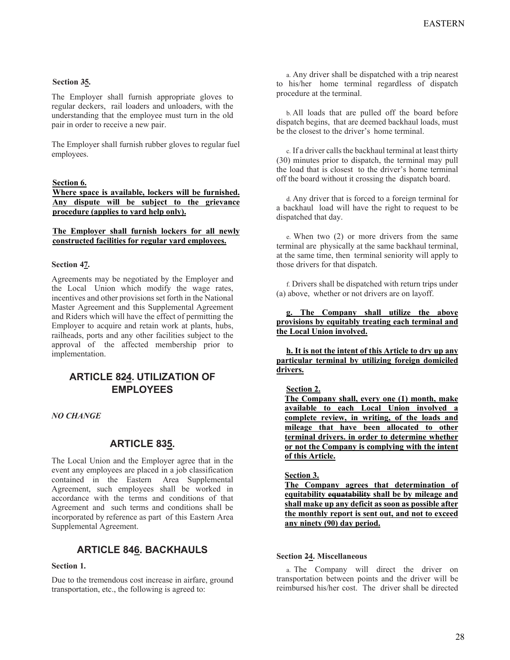## **Section 35.**

The Employer shall furnish appropriate gloves to regular deckers, rail loaders and unloaders, with the understanding that the employee must turn in the old pair in order to receive a new pair.

The Employer shall furnish rubber gloves to regular fuel employees.

### **Section 6.**

**Where space is available, lockers will be furnished. Any dispute will be subject to the grievance procedure (applies to yard help only).** 

#### **The Employer shall furnish lockers for all newly constructed facilities for regular yard employees.**

#### **Section 47.**

Agreements may be negotiated by the Employer and the Local Union which modify the wage rates, incentives and other provisions set forth in the National Master Agreement and this Supplemental Agreement and Riders which will have the effect of permitting the Employer to acquire and retain work at plants, hubs, railheads, ports and any other facilities subject to the approval of the affected membership prior to implementation.

# **ARTICLE 824. UTILIZATION OF EMPLOYEES**

*NO CHANGE*

## **ARTICLE 835.**

The Local Union and the Employer agree that in the event any employees are placed in a job classification contained in the Eastern Area Supplemental Agreement, such employees shall be worked in accordance with the terms and conditions of that Agreement and such terms and conditions shall be incorporated by reference as part of this Eastern Area Supplemental Agreement.

# **ARTICLE 846. BACKHAULS**

#### **Section 1.**

Due to the tremendous cost increase in airfare, ground transportation, etc., the following is agreed to:

a. Any driver shall be dispatched with a trip nearest to his/her home terminal regardless of dispatch procedure at the terminal.

b. All loads that are pulled off the board before dispatch begins, that are deemed backhaul loads, must be the closest to the driver's home terminal.

c. If a driver calls the backhaul terminal at least thirty (30) minutes prior to dispatch, the terminal may pull the load that is closest to the driver's home terminal off the board without it crossing the dispatch board.

d. Any driver that is forced to a foreign terminal for a backhaul load will have the right to request to be dispatched that day.

e. When two (2) or more drivers from the same terminal are physically at the same backhaul terminal, at the same time, then terminal seniority will apply to those drivers for that dispatch.

f. Drivers shall be dispatched with return trips under (a) above, whether or not drivers are on layoff.

**g. The Company shall utilize the above provisions by equitably treating each terminal and the Local Union involved.** 

**h. It is not the intent of this Article to dry up any particular terminal by utilizing foreign domiciled drivers.** 

#### **Section 2.**

**The Company shall, every one (1) month, make available to each Local Union involved a complete review, in writing, of the loads and mileage that have been allocated to other terminal drivers. in order to determine whether or not the Company is complying with the intent of this Article.** 

#### **Section 3.**

**The Company agrees that determination of equitability equatability shall be by mileage and shall make up any deficit as soon as possible after the monthly report is sent out, and not to exceed any ninety (90) day period.** 

#### **Section 24. Miscellaneous**

a. The Company will direct the driver on transportation between points and the driver will be reimbursed his/her cost. The driver shall be directed